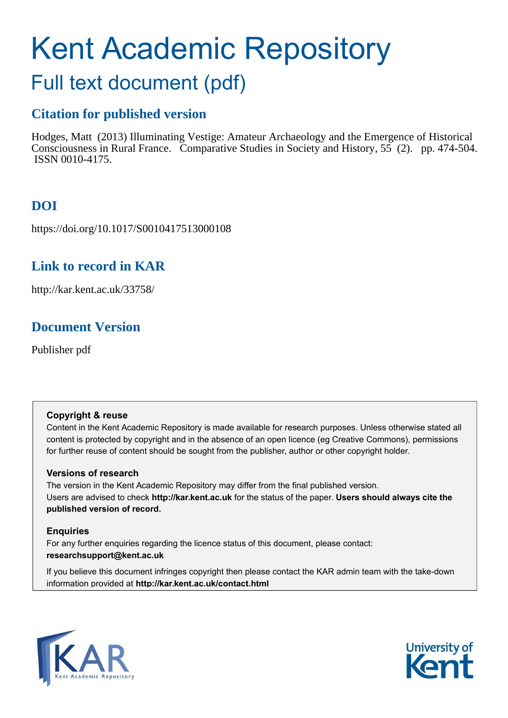# <span id="page-0-0"></span>Kent Academic Repository

# Full text document (pdf)

## **Citation for published version**

Hodges, Matt (2013) Illuminating Vestige: Amateur Archaeology and the Emergence of Historical Consciousness in Rural France. Comparative Studies in Society and History, 55 (2). pp. 474-504. ISSN 0010-4175.

# **DOI**

https://doi.org/10.1017/S0010417513000108

### **Link to record in KAR**

http://kar.kent.ac.uk/33758/

### **Document Version**

Publisher pdf

### **Copyright & reuse**

Content in the Kent Academic Repository is made available for research purposes. Unless otherwise stated all content is protected by copyright and in the absence of an open licence (eg Creative Commons), permissions for further reuse of content should be sought from the publisher, author or other copyright holder.

### **Versions of research**

The version in the Kent Academic Repository may differ from the final published version. Users are advised to check **http://kar.kent.ac.uk** for the status of the paper. **Users should always cite the published version of record.**

### **Enquiries**

For any further enquiries regarding the licence status of this document, please contact: **researchsupport@kent.ac.uk**

If you believe this document infringes copyright then please contact the KAR admin team with the take-down information provided at **http://kar.kent.ac.uk/contact.html**



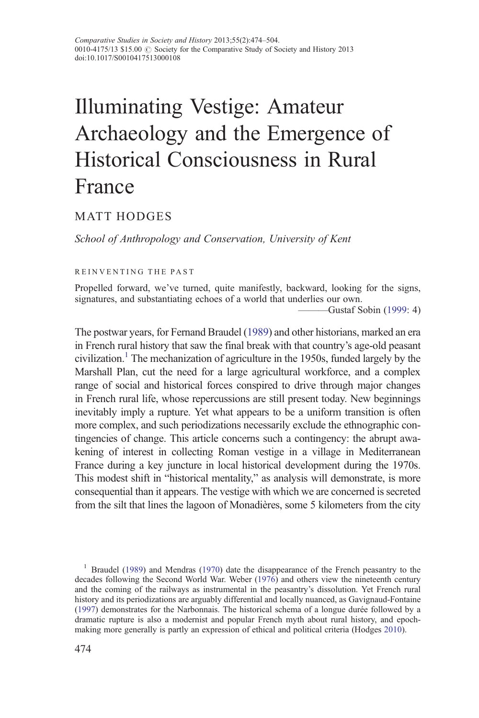# <span id="page-1-0"></span>Illuminating Vestige: Amateur Archaeology and the Emergence of Historical Consciousness in Rural France

### MATT HODGES

School of Anthropology and Conservation, University of Kent

### REINVENTING THE PAST

Propelled forward, we've turned, quite manifestly, backward, looking for the signs, signatures, and substantiating echoes of a world that underlies our own. ———Gustaf Sobin ([1999:](#page-29-0) 4)

The postwar years, for Fernand Braudel ([1989](#page-28-0)) and other historians, marked an era in French rural history that saw the final break with that country's age-old peasant civilization.<sup>[1](#page-0-0)</sup> The mechanization of agriculture in the 1950s, funded largely by the Marshall Plan, cut the need for a large agricultural workforce, and a complex range of social and historical forces conspired to drive through major changes in French rural life, whose repercussions are still present today. New beginnings inevitably imply a rupture. Yet what appears to be a uniform transition is often more complex, and such periodizations necessarily exclude the ethnographic contingencies of change. This article concerns such a contingency: the abrupt awakening of interest in collecting Roman vestige in a village in Mediterranean France during a key juncture in local historical development during the 1970s. This modest shift in "historical mentality," as analysis will demonstrate, is more consequential than it appears. The vestige with which we are concerned is secreted from the silt that lines the lagoon of Monadières, some 5 kilometers from the city

<sup>&</sup>lt;sup>1</sup> Braudel ([1989\)](#page-28-0) and Mendras [\(1970](#page-29-0)) date the disappearance of the French peasantry to the decades following the Second World War. Weber [\(1976](#page-30-0)) and others view the nineteenth century and the coming of the railways as instrumental in the peasantry's dissolution. Yet French rural history and its periodizations are arguably differential and locally nuanced, as Gavignaud-Fontaine ([1997\)](#page-28-0) demonstrates for the Narbonnais. The historical schema of a longue durée followed by a dramatic rupture is also a modernist and popular French myth about rural history, and epochmaking more generally is partly an expression of ethical and political criteria (Hodges [2010](#page-29-0)).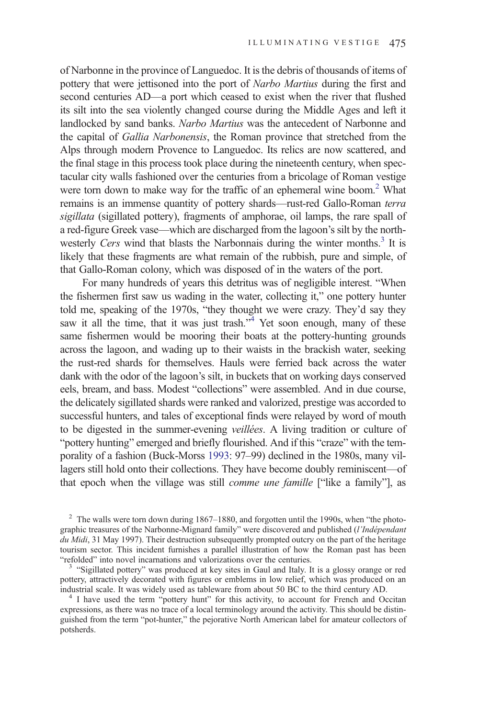<span id="page-2-0"></span>of Narbonne in the province of Languedoc. It is the debris of thousands of items of pottery that were jettisoned into the port of Narbo Martius during the first and second centuries AD—a port which ceased to exist when the river that flushed its silt into the sea violently changed course during the Middle Ages and left it landlocked by sand banks. Narbo Martius was the antecedent of Narbonne and the capital of Gallia Narbonensis, the Roman province that stretched from the Alps through modern Provence to Languedoc. Its relics are now scattered, and the final stage in this process took place during the nineteenth century, when spectacular city walls fashioned over the centuries from a bricolage of Roman vestige were torn down to make way for the traffic of an ephemeral wine boom.<sup>[2](#page-1-0)</sup> What remains is an immense quantity of pottery shards—rust-red Gallo-Roman terra sigillata (sigillated pottery), fragments of amphorae, oil lamps, the rare spall of a red-figure Greek vase—which are discharged from the lagoon's silt by the north-westerly Cers wind that blasts the Narbonnais during the winter months.<sup>[3](#page-1-0)</sup> It is likely that these fragments are what remain of the rubbish, pure and simple, of that Gallo-Roman colony, which was disposed of in the waters of the port.

For many hundreds of years this detritus was of negligible interest. "When the fishermen first saw us wading in the water, collecting it," one pottery hunter told me, speaking of the 1970s, "they thought we were crazy. They'd say they saw it all the time, that it was just trash.<sup>7[4](#page-1-0)</sup> Yet soon enough, many of these same fishermen would be mooring their boats at the pottery-hunting grounds across the lagoon, and wading up to their waists in the brackish water, seeking the rust-red shards for themselves. Hauls were ferried back across the water dank with the odor of the lagoon's silt, in buckets that on working days conserved eels, bream, and bass. Modest "collections" were assembled. And in due course, the delicately sigillated shards were ranked and valorized, prestige was accorded to successful hunters, and tales of exceptional finds were relayed by word of mouth to be digested in the summer-evening veillées. A living tradition or culture of "pottery hunting" emerged and briefly flourished. And if this "craze" with the temporality of a fashion (Buck-Morss [1993:](#page-28-0) 97–99) declined in the 1980s, many villagers still hold onto their collections. They have become doubly reminiscent—of that epoch when the village was still *comme une famille* ["like a family"], as

 $2$  The walls were torn down during 1867–1880, and forgotten until the 1990s, when "the photographic treasures of the Narbonne-Mignard family" were discovered and published (l'Indépendant du Midi, 31 May 1997). Their destruction subsequently prompted outcry on the part of the heritage tourism sector. This incident furnishes a parallel illustration of how the Roman past has been "refolded" into novel incarnations and valorizations over the centuries.

<sup>3</sup> "Sigillated pottery" was produced at key sites in Gaul and Italy. It is a glossy orange or red pottery, attractively decorated with figures or emblems in low relief, which was produced on an industrial scale. It was widely used as tableware from about 50 BC to the third century AD.

<sup>4</sup> I have used the term "pottery hunt" for this activity, to account for French and Occitan expressions, as there was no trace of a local terminology around the activity. This should be distinguished from the term "pot-hunter," the pejorative North American label for amateur collectors of potsherds.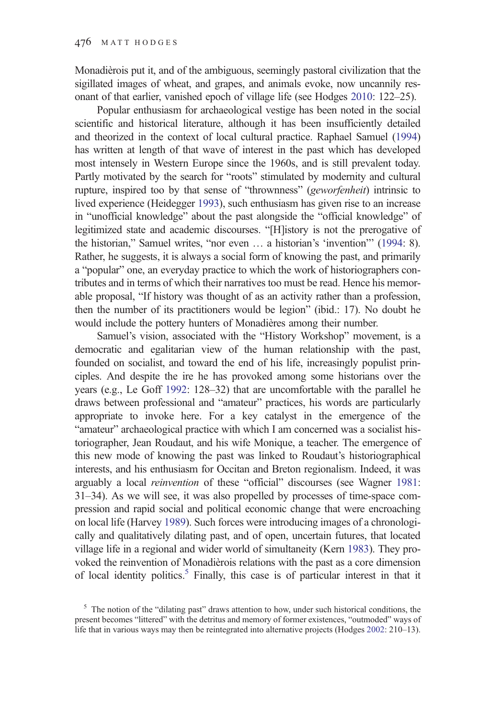Monadièrois put it, and of the ambiguous, seemingly pastoral civilization that the sigillated images of wheat, and grapes, and animals evoke, now uncannily resonant of that earlier, vanished epoch of village life (see Hodges [2010:](#page-29-0) 122–25).

Popular enthusiasm for archaeological vestige has been noted in the social scientific and historical literature, although it has been insufficiently detailed and theorized in the context of local cultural practice. Raphael Samuel ([1994](#page-29-0)) has written at length of that wave of interest in the past which has developed most intensely in Western Europe since the 1960s, and is still prevalent today. Partly motivated by the search for "roots" stimulated by modernity and cultural rupture, inspired too by that sense of "thrownness" (geworfenheit) intrinsic to lived experience (Heidegger [1993\)](#page-28-0), such enthusiasm has given rise to an increase in "unofficial knowledge" about the past alongside the "official knowledge" of legitimized state and academic discourses. "[H]istory is not the prerogative of the historian," Samuel writes, "nor even … a historian's 'invention"' ([1994](#page-29-0): 8). Rather, he suggests, it is always a social form of knowing the past, and primarily a "popular" one, an everyday practice to which the work of historiographers contributes and in terms of which their narratives too must be read. Hence his memorable proposal, "If history was thought of as an activity rather than a profession, then the number of its practitioners would be legion" (ibid.: 17). No doubt he would include the pottery hunters of Monadières among their number.

Samuel's vision, associated with the "History Workshop" movement, is a democratic and egalitarian view of the human relationship with the past, founded on socialist, and toward the end of his life, increasingly populist principles. And despite the ire he has provoked among some historians over the years (e.g., Le Goff [1992](#page-29-0): 128–32) that are uncomfortable with the parallel he draws between professional and "amateur" practices, his words are particularly appropriate to invoke here. For a key catalyst in the emergence of the "amateur" archaeological practice with which I am concerned was a socialist historiographer, Jean Roudaut, and his wife Monique, a teacher. The emergence of this new mode of knowing the past was linked to Roudaut's historiographical interests, and his enthusiasm for Occitan and Breton regionalism. Indeed, it was arguably a local *reinvention* of these "official" discourses (see Wagner [1981:](#page-30-0) 31–34). As we will see, it was also propelled by processes of time-space compression and rapid social and political economic change that were encroaching on local life (Harvey [1989](#page-28-0)). Such forces were introducing images of a chronologically and qualitatively dilating past, and of open, uncertain futures, that located village life in a regional and wider world of simultaneity (Kern [1983\)](#page-29-0). They provoked the reinvention of Monadièrois relations with the past as a core dimension of local identity politics.<sup>[5](#page-2-0)</sup> Finally, this case is of particular interest in that it

<sup>&</sup>lt;sup>5</sup> The notion of the "dilating past" draws attention to how, under such historical conditions, the present becomes "littered" with the detritus and memory of former existences, "outmoded" ways of life that in various ways may then be reintegrated into alternative projects (Hodges [2002:](#page-28-0) 210–13).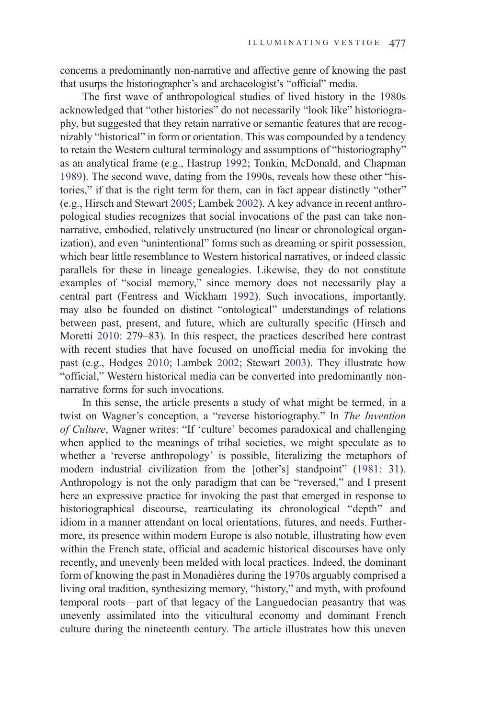<span id="page-4-0"></span>concerns a predominantly non-narrative and affective genre of knowing the past that usurps the historiographer's and archaeologist's "official" media.

The first wave of anthropological studies of lived history in the 1980s acknowledged that "other histories" do not necessarily "look like" historiography, but suggested that they retain narrative or semantic features that are recognizably "historical" in form or orientation. This was compounded by a tendency to retain the Western cultural terminology and assumptions of "historiography" as an analytical frame (e.g., Hastrup [1992;](#page-28-0) Tonkin, McDonald, and Chapman [1989](#page-29-0)). The second wave, dating from the 1990s, reveals how these other "histories," if that is the right term for them, can in fact appear distinctly "other" (e.g., Hirsch and Stewart [2005;](#page-28-0) Lambek [2002](#page-29-0)). A key advance in recent anthropological studies recognizes that social invocations of the past can take nonnarrative, embodied, relatively unstructured (no linear or chronological organization), and even "unintentional" forms such as dreaming or spirit possession, which bear little resemblance to Western historical narratives, or indeed classic parallels for these in lineage genealogies. Likewise, they do not constitute examples of "social memory," since memory does not necessarily play a central part (Fentress and Wickham [1992\)](#page-28-0). Such invocations, importantly, may also be founded on distinct "ontological" understandings of relations between past, present, and future, which are culturally specific (Hirsch and Moretti [2010:](#page-28-0) 279–83). In this respect, the practices described here contrast with recent studies that have focused on unofficial media for invoking the past (e.g., Hodges [2010;](#page-29-0) Lambek [2002;](#page-29-0) Stewart [2003\)](#page-29-0). They illustrate how "official," Western historical media can be converted into predominantly nonnarrative forms for such invocations.

In this sense, the article presents a study of what might be termed, in a twist on Wagner's conception, a "reverse historiography." In The Invention of Culture, Wagner writes: "If 'culture' becomes paradoxical and challenging when applied to the meanings of tribal societies, we might speculate as to whether a 'reverse anthropology' is possible, literalizing the metaphors of modern industrial civilization from the [other's] standpoint" ([1981:](#page-30-0) 31). Anthropology is not the only paradigm that can be "reversed," and I present here an expressive practice for invoking the past that emerged in response to historiographical discourse, rearticulating its chronological "depth" and idiom in a manner attendant on local orientations, futures, and needs. Furthermore, its presence within modern Europe is also notable, illustrating how even within the French state, official and academic historical discourses have only recently, and unevenly been melded with local practices. Indeed, the dominant form of knowing the past in Monadières during the 1970s arguably comprised a living oral tradition, synthesizing memory, "history," and myth, with profound temporal roots—part of that legacy of the Languedocian peasantry that was unevenly assimilated into the viticultural economy and dominant French culture during the nineteenth century. The article illustrates how this uneven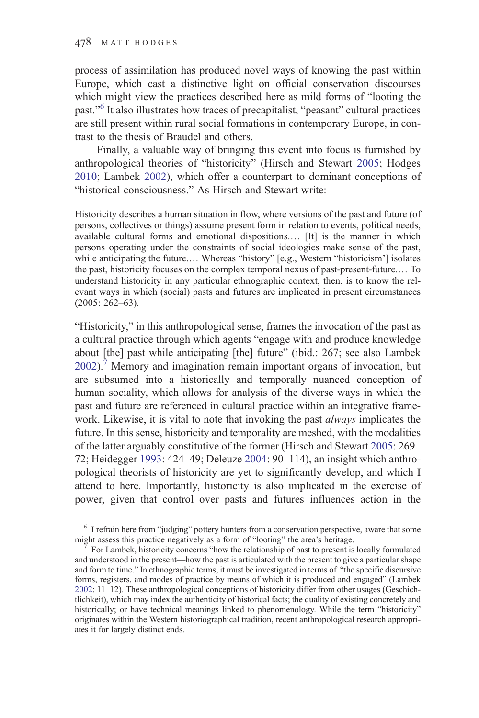<span id="page-5-0"></span>process of assimilation has produced novel ways of knowing the past within Europe, which cast a distinctive light on official conservation discourses which might view the practices described here as mild forms of "looting the past." [6](#page-4-0) It also illustrates how traces of precapitalist, "peasant" cultural practices are still present within rural social formations in contemporary Europe, in contrast to the thesis of Braudel and others.

Finally, a valuable way of bringing this event into focus is furnished by anthropological theories of "historicity" (Hirsch and Stewart [2005;](#page-28-0) Hodges [2010](#page-29-0); Lambek [2002](#page-29-0)), which offer a counterpart to dominant conceptions of "historical consciousness." As Hirsch and Stewart write:

Historicity describes a human situation in flow, where versions of the past and future (of persons, collectives or things) assume present form in relation to events, political needs, available cultural forms and emotional dispositions.… [It] is the manner in which persons operating under the constraints of social ideologies make sense of the past, while anticipating the future.… Whereas "history" [e.g., Western "historicism'] isolates the past, historicity focuses on the complex temporal nexus of past-present-future.… To understand historicity in any particular ethnographic context, then, is to know the relevant ways in which (social) pasts and futures are implicated in present circumstances (2005: 262–63).

"Historicity," in this anthropological sense, frames the invocation of the past as a cultural practice through which agents "engage with and produce knowledge about [the] past while anticipating [the] future" (ibid.: 267; see also Lambek  $2002$ ).<sup>[7](#page-4-0)</sup> Memory and imagination remain important organs of invocation, but are subsumed into a historically and temporally nuanced conception of human sociality, which allows for analysis of the diverse ways in which the past and future are referenced in cultural practice within an integrative framework. Likewise, it is vital to note that invoking the past *always* implicates the future. In this sense, historicity and temporality are meshed, with the modalities of the latter arguably constitutive of the former (Hirsch and Stewart [2005](#page-28-0): 269– 72; Heidegger [1993:](#page-28-0) 424–49; Deleuze [2004:](#page-28-0) 90–114), an insight which anthropological theorists of historicity are yet to significantly develop, and which I attend to here. Importantly, historicity is also implicated in the exercise of power, given that control over pasts and futures influences action in the

<sup>6</sup> I refrain here from "judging" pottery hunters from a conservation perspective, aware that some might assess this practice negatively as a form of "looting" the area's heritage.

For Lambek, historicity concerns "how the relationship of past to present is locally formulated and understood in the present—how the past is articulated with the present to give a particular shape and form to time." In ethnographic terms, it must be investigated in terms of "the specific discursive forms, registers, and modes of practice by means of which it is produced and engaged" (Lambek [2002](#page-29-0): 11–12). These anthropological conceptions of historicity differ from other usages (Geschichtlichkeit), which may index the authenticity of historical facts; the quality of existing concretely and historically; or have technical meanings linked to phenomenology. While the term "historicity" originates within the Western historiographical tradition, recent anthropological research appropriates it for largely distinct ends.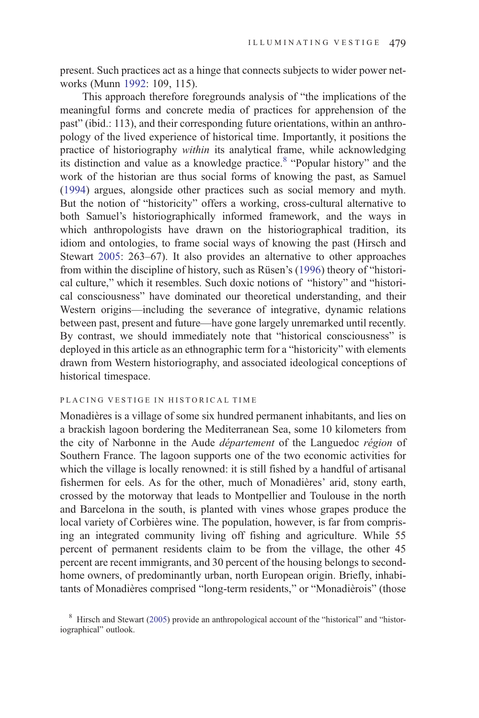<span id="page-6-0"></span>present. Such practices act as a hinge that connects subjects to wider power networks (Munn [1992:](#page-29-0) 109, 115).

This approach therefore foregrounds analysis of "the implications of the meaningful forms and concrete media of practices for apprehension of the past" (ibid.: 113), and their corresponding future orientations, within an anthropology of the lived experience of historical time. Importantly, it positions the practice of historiography within its analytical frame, while acknowledging its distinction and value as a knowledge practice.<sup>[8](#page-5-0)</sup> "Popular history" and the work of the historian are thus social forms of knowing the past, as Samuel [\(1994](#page-29-0)) argues, alongside other practices such as social memory and myth. But the notion of "historicity" offers a working, cross-cultural alternative to both Samuel's historiographically informed framework, and the ways in which anthropologists have drawn on the historiographical tradition, its idiom and ontologies, to frame social ways of knowing the past (Hirsch and Stewart [2005:](#page-28-0) 263–67). It also provides an alternative to other approaches from within the discipline of history, such as Rüsen's [\(1996](#page-29-0)) theory of "historical culture," which it resembles. Such doxic notions of "history" and "historical consciousness" have dominated our theoretical understanding, and their Western origins—including the severance of integrative, dynamic relations between past, present and future—have gone largely unremarked until recently. By contrast, we should immediately note that "historical consciousness" is deployed in this article as an ethnographic term for a "historicity" with elements drawn from Western historiography, and associated ideological conceptions of historical timespace.

### PLACING VESTIGE IN HISTORICAL TIME

Monadières is a village of some six hundred permanent inhabitants, and lies on a brackish lagoon bordering the Mediterranean Sea, some 10 kilometers from the city of Narbonne in the Aude département of the Languedoc région of Southern France. The lagoon supports one of the two economic activities for which the village is locally renowned: it is still fished by a handful of artisanal fishermen for eels. As for the other, much of Monadières' arid, stony earth, crossed by the motorway that leads to Montpellier and Toulouse in the north and Barcelona in the south, is planted with vines whose grapes produce the local variety of Corbières wine. The population, however, is far from comprising an integrated community living off fishing and agriculture. While 55 percent of permanent residents claim to be from the village, the other 45 percent are recent immigrants, and 30 percent of the housing belongs to secondhome owners, of predominantly urban, north European origin. Briefly, inhabitants of Monadières comprised "long-term residents," or "Monadièrois" (those

<sup>&</sup>lt;sup>8</sup> Hirsch and Stewart ([2005\)](#page-28-0) provide an anthropological account of the "historical" and "historiographical" outlook.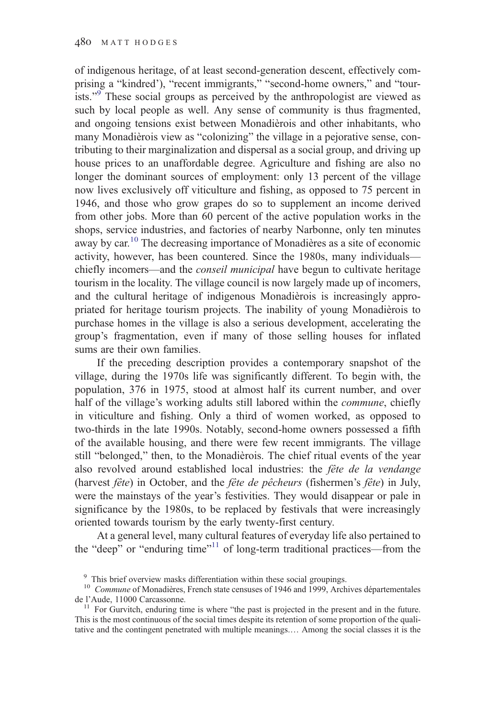<span id="page-7-0"></span>of indigenous heritage, of at least second-generation descent, effectively comprising a "kindred'), "recent immigrants," "second-home owners," and "tour-ists."<sup>[9](#page-6-0)</sup> These social groups as perceived by the anthropologist are viewed as such by local people as well. Any sense of community is thus fragmented, and ongoing tensions exist between Monadièrois and other inhabitants, who many Monadièrois view as "colonizing" the village in a pejorative sense, contributing to their marginalization and dispersal as a social group, and driving up house prices to an unaffordable degree. Agriculture and fishing are also no longer the dominant sources of employment: only 13 percent of the village now lives exclusively off viticulture and fishing, as opposed to 75 percent in 1946, and those who grow grapes do so to supplement an income derived from other jobs. More than 60 percent of the active population works in the shops, service industries, and factories of nearby Narbonne, only ten minutes away by car.[10](#page-6-0) The decreasing importance of Monadières as a site of economic activity, however, has been countered. Since the 1980s, many individuals chiefly incomers—and the *conseil municipal* have begun to cultivate heritage tourism in the locality. The village council is now largely made up of incomers, and the cultural heritage of indigenous Monadièrois is increasingly appropriated for heritage tourism projects. The inability of young Monadièrois to purchase homes in the village is also a serious development, accelerating the group's fragmentation, even if many of those selling houses for inflated sums are their own families.

If the preceding description provides a contemporary snapshot of the village, during the 1970s life was significantly different. To begin with, the population, 376 in 1975, stood at almost half its current number, and over half of the village's working adults still labored within the *commune*, chiefly in viticulture and fishing. Only a third of women worked, as opposed to two-thirds in the late 1990s. Notably, second-home owners possessed a fifth of the available housing, and there were few recent immigrants. The village still "belonged," then, to the Monadièrois. The chief ritual events of the year also revolved around established local industries: the fête de la vendange (harvest fête) in October, and the fête de pêcheurs (fishermen's fête) in July, were the mainstays of the year's festivities. They would disappear or pale in significance by the 1980s, to be replaced by festivals that were increasingly oriented towards tourism by the early twenty-first century.

At a general level, many cultural features of everyday life also pertained to the "deep" or "enduring time"<sup>[11](#page-6-0)</sup> of long-term traditional practices—from the

<sup>&</sup>lt;sup>9</sup> This brief overview masks differentiation within these social groupings.

<sup>&</sup>lt;sup>10</sup> Commune of Monadières, French state censuses of 1946 and 1999, Archives départementales de l'Aude, 11000 Carcassonne.

 $11$  For Gurvitch, enduring time is where "the past is projected in the present and in the future. This is the most continuous of the social times despite its retention of some proportion of the qualitative and the contingent penetrated with multiple meanings.… Among the social classes it is the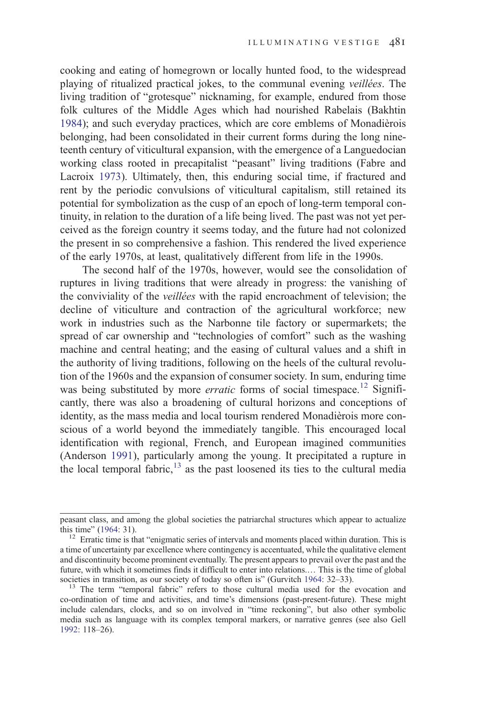<span id="page-8-0"></span>cooking and eating of homegrown or locally hunted food, to the widespread playing of ritualized practical jokes, to the communal evening veillées. The living tradition of "grotesque" nicknaming, for example, endured from those folk cultures of the Middle Ages which had nourished Rabelais (Bakhtin [1984](#page-27-0)); and such everyday practices, which are core emblems of Monadièrois belonging, had been consolidated in their current forms during the long nineteenth century of viticultural expansion, with the emergence of a Languedocian working class rooted in precapitalist "peasant" living traditions (Fabre and Lacroix [1973](#page-28-0)). Ultimately, then, this enduring social time, if fractured and rent by the periodic convulsions of viticultural capitalism, still retained its potential for symbolization as the cusp of an epoch of long-term temporal continuity, in relation to the duration of a life being lived. The past was not yet perceived as the foreign country it seems today, and the future had not colonized the present in so comprehensive a fashion. This rendered the lived experience of the early 1970s, at least, qualitatively different from life in the 1990s.

The second half of the 1970s, however, would see the consolidation of ruptures in living traditions that were already in progress: the vanishing of the conviviality of the veillées with the rapid encroachment of television; the decline of viticulture and contraction of the agricultural workforce; new work in industries such as the Narbonne tile factory or supermarkets; the spread of car ownership and "technologies of comfort" such as the washing machine and central heating; and the easing of cultural values and a shift in the authority of living traditions, following on the heels of the cultural revolution of the 1960s and the expansion of consumer society. In sum, enduring time was being substituted by more *erratic* forms of social timespace.<sup>[12](#page-7-0)</sup> Significantly, there was also a broadening of cultural horizons and conceptions of identity, as the mass media and local tourism rendered Monadièrois more conscious of a world beyond the immediately tangible. This encouraged local identification with regional, French, and European imagined communities (Anderson [1991](#page-27-0)), particularly among the young. It precipitated a rupture in the local temporal fabric, $^{13}$  $^{13}$  $^{13}$  as the past loosened its ties to the cultural media

peasant class, and among the global societies the patriarchal structures which appear to actualize this time" [\(1964](#page-28-0): 31).

 $12$  Erratic time is that "enigmatic series of intervals and moments placed within duration. This is a time of uncertainty par excellence where contingency is accentuated, while the qualitative element and discontinuity become prominent eventually. The present appears to prevail over the past and the future, with which it sometimes finds it difficult to enter into relations.… This is the time of global societies in transition, as our society of today so often is" (Gurvitch [1964](#page-28-0): 32–33).

<sup>&</sup>lt;sup>13</sup> The term "temporal fabric" refers to those cultural media used for the evocation and co-ordination of time and activities, and time's dimensions (past-present-future). These might include calendars, clocks, and so on involved in "time reckoning", but also other symbolic media such as language with its complex temporal markers, or narrative genres (see also Gell [1992](#page-28-0): 118–26).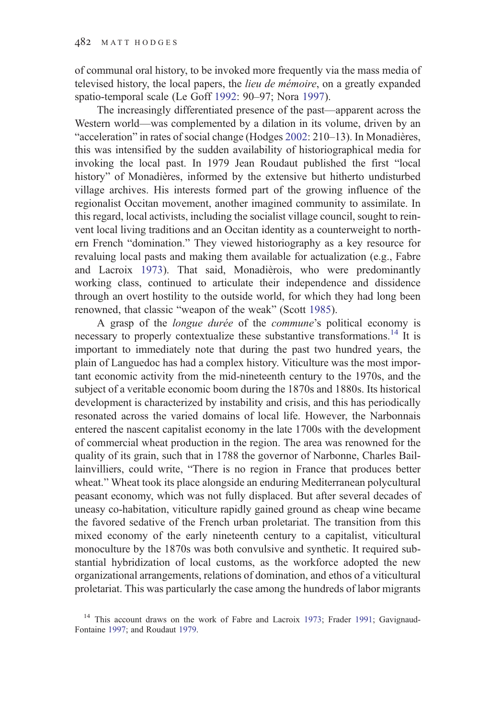of communal oral history, to be invoked more frequently via the mass media of televised history, the local papers, the lieu de mémoire, on a greatly expanded spatio-temporal scale (Le Goff [1992](#page-29-0): 90–97; Nora [1997\)](#page-29-0).

The increasingly differentiated presence of the past—apparent across the Western world—was complemented by a dilation in its volume, driven by an "acceleration" in rates of social change (Hodges [2002](#page-28-0): 210–13). In Monadières, this was intensified by the sudden availability of historiographical media for invoking the local past. In 1979 Jean Roudaut published the first "local history" of Monadières, informed by the extensive but hitherto undisturbed village archives. His interests formed part of the growing influence of the regionalist Occitan movement, another imagined community to assimilate. In this regard, local activists, including the socialist village council, sought to reinvent local living traditions and an Occitan identity as a counterweight to northern French "domination." They viewed historiography as a key resource for revaluing local pasts and making them available for actualization (e.g., Fabre and Lacroix [1973](#page-28-0)). That said, Monadièrois, who were predominantly working class, continued to articulate their independence and dissidence through an overt hostility to the outside world, for which they had long been renowned, that classic "weapon of the weak" (Scott [1985\)](#page-29-0).

A grasp of the longue durée of the commune's political economy is necessary to properly contextualize these substantive transformations.[14](#page-8-0) It is important to immediately note that during the past two hundred years, the plain of Languedoc has had a complex history. Viticulture was the most important economic activity from the mid-nineteenth century to the 1970s, and the subject of a veritable economic boom during the 1870s and 1880s. Its historical development is characterized by instability and crisis, and this has periodically resonated across the varied domains of local life. However, the Narbonnais entered the nascent capitalist economy in the late 1700s with the development of commercial wheat production in the region. The area was renowned for the quality of its grain, such that in 1788 the governor of Narbonne, Charles Baillainvilliers, could write, "There is no region in France that produces better wheat." Wheat took its place alongside an enduring Mediterranean polycultural peasant economy, which was not fully displaced. But after several decades of uneasy co-habitation, viticulture rapidly gained ground as cheap wine became the favored sedative of the French urban proletariat. The transition from this mixed economy of the early nineteenth century to a capitalist, viticultural monoculture by the 1870s was both convulsive and synthetic. It required substantial hybridization of local customs, as the workforce adopted the new organizational arrangements, relations of domination, and ethos of a viticultural proletariat. This was particularly the case among the hundreds of labor migrants

<sup>&</sup>lt;sup>14</sup> This account draws on the work of Fabre and Lacroix [1973](#page-28-0); Frader [1991](#page-28-0); Gavignaud-Fontaine [1997](#page-28-0); and Roudaut [1979](#page-29-0).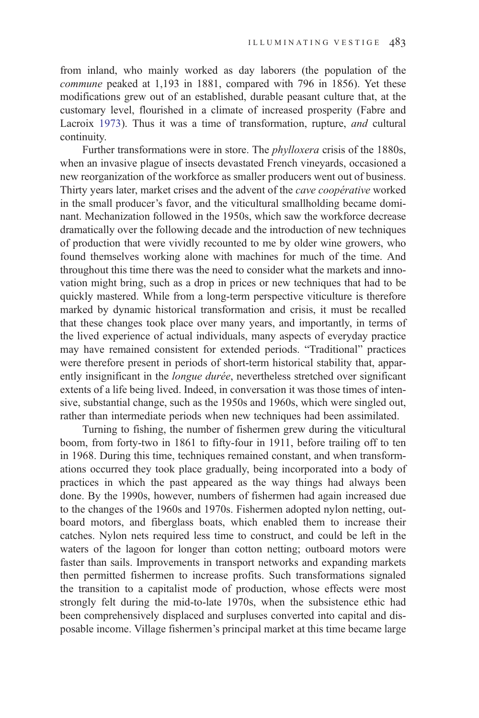from inland, who mainly worked as day laborers (the population of the commune peaked at 1,193 in 1881, compared with 796 in 1856). Yet these modifications grew out of an established, durable peasant culture that, at the customary level, flourished in a climate of increased prosperity (Fabre and Lacroix [1973](#page-28-0)). Thus it was a time of transformation, rupture, and cultural continuity.

Further transformations were in store. The phylloxera crisis of the 1880s, when an invasive plague of insects devastated French vineyards, occasioned a new reorganization of the workforce as smaller producers went out of business. Thirty years later, market crises and the advent of the cave coopérative worked in the small producer's favor, and the viticultural smallholding became dominant. Mechanization followed in the 1950s, which saw the workforce decrease dramatically over the following decade and the introduction of new techniques of production that were vividly recounted to me by older wine growers, who found themselves working alone with machines for much of the time. And throughout this time there was the need to consider what the markets and innovation might bring, such as a drop in prices or new techniques that had to be quickly mastered. While from a long-term perspective viticulture is therefore marked by dynamic historical transformation and crisis, it must be recalled that these changes took place over many years, and importantly, in terms of the lived experience of actual individuals, many aspects of everyday practice may have remained consistent for extended periods. "Traditional" practices were therefore present in periods of short-term historical stability that, apparently insignificant in the *longue durée*, nevertheless stretched over significant extents of a life being lived. Indeed, in conversation it was those times of intensive, substantial change, such as the 1950s and 1960s, which were singled out, rather than intermediate periods when new techniques had been assimilated.

Turning to fishing, the number of fishermen grew during the viticultural boom, from forty-two in 1861 to fifty-four in 1911, before trailing off to ten in 1968. During this time, techniques remained constant, and when transformations occurred they took place gradually, being incorporated into a body of practices in which the past appeared as the way things had always been done. By the 1990s, however, numbers of fishermen had again increased due to the changes of the 1960s and 1970s. Fishermen adopted nylon netting, outboard motors, and fiberglass boats, which enabled them to increase their catches. Nylon nets required less time to construct, and could be left in the waters of the lagoon for longer than cotton netting; outboard motors were faster than sails. Improvements in transport networks and expanding markets then permitted fishermen to increase profits. Such transformations signaled the transition to a capitalist mode of production, whose effects were most strongly felt during the mid-to-late 1970s, when the subsistence ethic had been comprehensively displaced and surpluses converted into capital and disposable income. Village fishermen's principal market at this time became large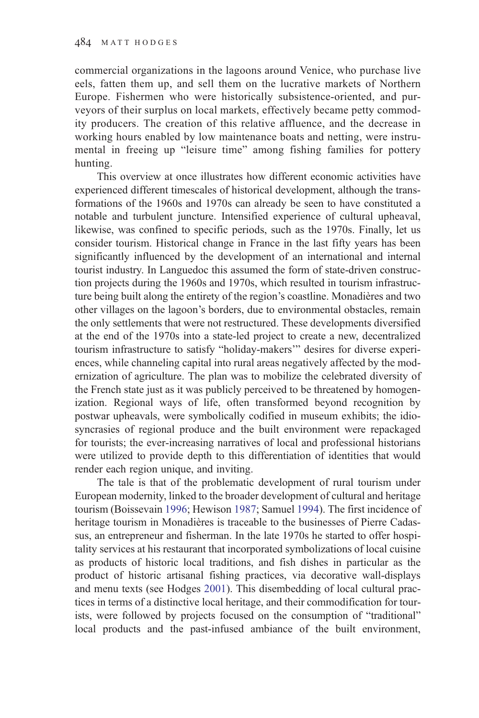commercial organizations in the lagoons around Venice, who purchase live eels, fatten them up, and sell them on the lucrative markets of Northern Europe. Fishermen who were historically subsistence-oriented, and purveyors of their surplus on local markets, effectively became petty commodity producers. The creation of this relative affluence, and the decrease in working hours enabled by low maintenance boats and netting, were instrumental in freeing up "leisure time" among fishing families for pottery hunting.

This overview at once illustrates how different economic activities have experienced different timescales of historical development, although the transformations of the 1960s and 1970s can already be seen to have constituted a notable and turbulent juncture. Intensified experience of cultural upheaval, likewise, was confined to specific periods, such as the 1970s. Finally, let us consider tourism. Historical change in France in the last fifty years has been significantly influenced by the development of an international and internal tourist industry. In Languedoc this assumed the form of state-driven construction projects during the 1960s and 1970s, which resulted in tourism infrastructure being built along the entirety of the region's coastline. Monadières and two other villages on the lagoon's borders, due to environmental obstacles, remain the only settlements that were not restructured. These developments diversified at the end of the 1970s into a state-led project to create a new, decentralized tourism infrastructure to satisfy "holiday-makers'" desires for diverse experiences, while channeling capital into rural areas negatively affected by the modernization of agriculture. The plan was to mobilize the celebrated diversity of the French state just as it was publicly perceived to be threatened by homogenization. Regional ways of life, often transformed beyond recognition by postwar upheavals, were symbolically codified in museum exhibits; the idiosyncrasies of regional produce and the built environment were repackaged for tourists; the ever-increasing narratives of local and professional historians were utilized to provide depth to this differentiation of identities that would render each region unique, and inviting.

The tale is that of the problematic development of rural tourism under European modernity, linked to the broader development of cultural and heritage tourism (Boissevain [1996;](#page-27-0) Hewison [1987](#page-28-0); Samuel [1994\)](#page-29-0). The first incidence of heritage tourism in Monadières is traceable to the businesses of Pierre Cadassus, an entrepreneur and fisherman. In the late 1970s he started to offer hospitality services at his restaurant that incorporated symbolizations of local cuisine as products of historic local traditions, and fish dishes in particular as the product of historic artisanal fishing practices, via decorative wall-displays and menu texts (see Hodges [2001](#page-28-0)). This disembedding of local cultural practices in terms of a distinctive local heritage, and their commodification for tourists, were followed by projects focused on the consumption of "traditional" local products and the past-infused ambiance of the built environment,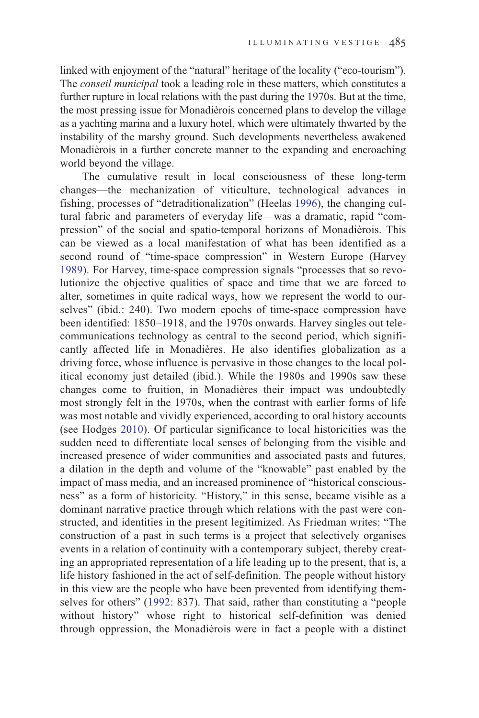<span id="page-12-0"></span>linked with enjoyment of the "natural" heritage of the locality ("eco-tourism"). The conseil municipal took a leading role in these matters, which constitutes a further rupture in local relations with the past during the 1970s. But at the time, the most pressing issue for Monadièrois concerned plans to develop the village as a yachting marina and a luxury hotel, which were ultimately thwarted by the instability of the marshy ground. Such developments nevertheless awakened Monadièrois in a further concrete manner to the expanding and encroaching world beyond the village.

The cumulative result in local consciousness of these long-term changes—the mechanization of viticulture, technological advances in fishing, processes of "detraditionalization" (Heelas [1996](#page-28-0)), the changing cultural fabric and parameters of everyday life—was a dramatic, rapid "compression" of the social and spatio-temporal horizons of Monadièrois. This can be viewed as a local manifestation of what has been identified as a second round of "time-space compression" in Western Europe (Harvey [1989\)](#page-28-0). For Harvey, time-space compression signals "processes that so revolutionize the objective qualities of space and time that we are forced to alter, sometimes in quite radical ways, how we represent the world to ourselves" (ibid.: 240). Two modern epochs of time-space compression have been identified: 1850–1918, and the 1970s onwards. Harvey singles out telecommunications technology as central to the second period, which significantly affected life in Monadières. He also identifies globalization as a driving force, whose influence is pervasive in those changes to the local political economy just detailed (ibid.). While the 1980s and 1990s saw these changes come to fruition, in Monadières their impact was undoubtedly most strongly felt in the 1970s, when the contrast with earlier forms of life was most notable and vividly experienced, according to oral history accounts (see Hodges [2010](#page-29-0)). Of particular significance to local historicities was the sudden need to differentiate local senses of belonging from the visible and increased presence of wider communities and associated pasts and futures, a dilation in the depth and volume of the "knowable" past enabled by the impact of mass media, and an increased prominence of "historical consciousness" as a form of historicity. "History," in this sense, became visible as a dominant narrative practice through which relations with the past were constructed, and identities in the present legitimized. As Friedman writes: "The construction of a past in such terms is a project that selectively organises events in a relation of continuity with a contemporary subject, thereby creating an appropriated representation of a life leading up to the present, that is, a life history fashioned in the act of self-definition. The people without history in this view are the people who have been prevented from identifying themselves for others" ([1992:](#page-28-0) 837). That said, rather than constituting a "people without history" whose right to historical self-definition was denied through oppression, the Monadièrois were in fact a people with a distinct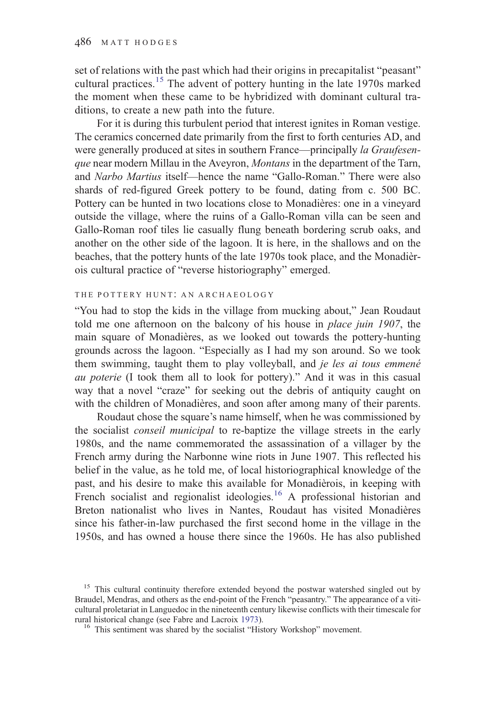<span id="page-13-0"></span>set of relations with the past which had their origins in precapitalist "peasant" cultural practices.[15](#page-12-0) The advent of pottery hunting in the late 1970s marked the moment when these came to be hybridized with dominant cultural traditions, to create a new path into the future.

For it is during this turbulent period that interest ignites in Roman vestige. The ceramics concerned date primarily from the first to forth centuries AD, and were generally produced at sites in southern France—principally la Graufesenque near modern Millau in the Aveyron, Montans in the department of the Tarn, and Narbo Martius itself—hence the name "Gallo-Roman." There were also shards of red-figured Greek pottery to be found, dating from c. 500 BC. Pottery can be hunted in two locations close to Monadières: one in a vineyard outside the village, where the ruins of a Gallo-Roman villa can be seen and Gallo-Roman roof tiles lie casually flung beneath bordering scrub oaks, and another on the other side of the lagoon. It is here, in the shallows and on the beaches, that the pottery hunts of the late 1970s took place, and the Monadièrois cultural practice of "reverse historiography" emerged.

#### THE POTTERY HUNT: AN ARCHAEOLOGY

"You had to stop the kids in the village from mucking about," Jean Roudaut told me one afternoon on the balcony of his house in place juin 1907, the main square of Monadières, as we looked out towards the pottery-hunting grounds across the lagoon. "Especially as I had my son around. So we took them swimming, taught them to play volleyball, and je les ai tous emmené au poterie (I took them all to look for pottery)." And it was in this casual way that a novel "craze" for seeking out the debris of antiquity caught on with the children of Monadières, and soon after among many of their parents.

Roudaut chose the square's name himself, when he was commissioned by the socialist *conseil municipal* to re-baptize the village streets in the early 1980s, and the name commemorated the assassination of a villager by the French army during the Narbonne wine riots in June 1907. This reflected his belief in the value, as he told me, of local historiographical knowledge of the past, and his desire to make this available for Monadièrois, in keeping with French socialist and regionalist ideologies.<sup>[16](#page-12-0)</sup> A professional historian and Breton nationalist who lives in Nantes, Roudaut has visited Monadières since his father-in-law purchased the first second home in the village in the 1950s, and has owned a house there since the 1960s. He has also published

<sup>&</sup>lt;sup>15</sup> This cultural continuity therefore extended beyond the postwar watershed singled out by Braudel, Mendras, and others as the end-point of the French "peasantry." The appearance of a viticultural proletariat in Languedoc in the nineteenth century likewise conflicts with their timescale for rural historical change (see Fabre and Lacroix [1973](#page-28-0)).

<sup>&</sup>lt;sup>16</sup> This sentiment was shared by the socialist "History Workshop" movement.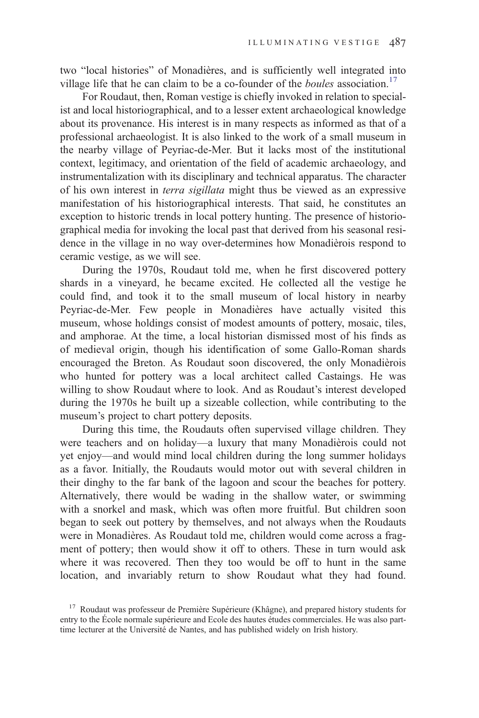<span id="page-14-0"></span>two "local histories" of Monadières, and is sufficiently well integrated into village life that he can claim to be a co-founder of the *boules* association.<sup>[17](#page-13-0)</sup>

For Roudaut, then, Roman vestige is chiefly invoked in relation to specialist and local historiographical, and to a lesser extent archaeological knowledge about its provenance. His interest is in many respects as informed as that of a professional archaeologist. It is also linked to the work of a small museum in the nearby village of Peyriac-de-Mer. But it lacks most of the institutional context, legitimacy, and orientation of the field of academic archaeology, and instrumentalization with its disciplinary and technical apparatus. The character of his own interest in terra sigillata might thus be viewed as an expressive manifestation of his historiographical interests. That said, he constitutes an exception to historic trends in local pottery hunting. The presence of historiographical media for invoking the local past that derived from his seasonal residence in the village in no way over-determines how Monadièrois respond to ceramic vestige, as we will see.

During the 1970s, Roudaut told me, when he first discovered pottery shards in a vineyard, he became excited. He collected all the vestige he could find, and took it to the small museum of local history in nearby Peyriac-de-Mer. Few people in Monadières have actually visited this museum, whose holdings consist of modest amounts of pottery, mosaic, tiles, and amphorae. At the time, a local historian dismissed most of his finds as of medieval origin, though his identification of some Gallo-Roman shards encouraged the Breton. As Roudaut soon discovered, the only Monadièrois who hunted for pottery was a local architect called Castaings. He was willing to show Roudaut where to look. And as Roudaut's interest developed during the 1970s he built up a sizeable collection, while contributing to the museum's project to chart pottery deposits.

During this time, the Roudauts often supervised village children. They were teachers and on holiday—a luxury that many Monadièrois could not yet enjoy—and would mind local children during the long summer holidays as a favor. Initially, the Roudauts would motor out with several children in their dinghy to the far bank of the lagoon and scour the beaches for pottery. Alternatively, there would be wading in the shallow water, or swimming with a snorkel and mask, which was often more fruitful. But children soon began to seek out pottery by themselves, and not always when the Roudauts were in Monadières. As Roudaut told me, children would come across a fragment of pottery; then would show it off to others. These in turn would ask where it was recovered. Then they too would be off to hunt in the same location, and invariably return to show Roudaut what they had found.

<sup>&</sup>lt;sup>17</sup> Roudaut was professeur de Première Supérieure (Khâgne), and prepared history students for entry to the École normale supérieure and Ecole des hautes études commerciales. He was also parttime lecturer at the Université de Nantes, and has published widely on Irish history.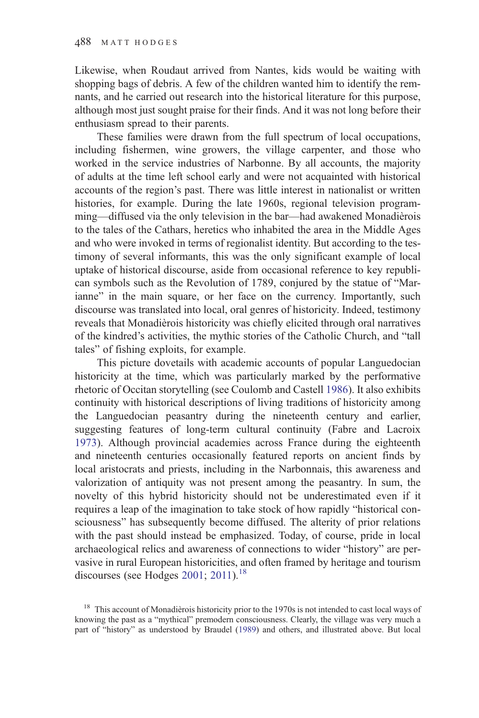Likewise, when Roudaut arrived from Nantes, kids would be waiting with shopping bags of debris. A few of the children wanted him to identify the remnants, and he carried out research into the historical literature for this purpose, although most just sought praise for their finds. And it was not long before their enthusiasm spread to their parents.

These families were drawn from the full spectrum of local occupations, including fishermen, wine growers, the village carpenter, and those who worked in the service industries of Narbonne. By all accounts, the majority of adults at the time left school early and were not acquainted with historical accounts of the region's past. There was little interest in nationalist or written histories, for example. During the late 1960s, regional television programming—diffused via the only television in the bar—had awakened Monadièrois to the tales of the Cathars, heretics who inhabited the area in the Middle Ages and who were invoked in terms of regionalist identity. But according to the testimony of several informants, this was the only significant example of local uptake of historical discourse, aside from occasional reference to key republican symbols such as the Revolution of 1789, conjured by the statue of "Marianne" in the main square, or her face on the currency. Importantly, such discourse was translated into local, oral genres of historicity. Indeed, testimony reveals that Monadièrois historicity was chiefly elicited through oral narratives of the kindred's activities, the mythic stories of the Catholic Church, and "tall tales" of fishing exploits, for example.

This picture dovetails with academic accounts of popular Languedocian historicity at the time, which was particularly marked by the performative rhetoric of Occitan storytelling (see Coulomb and Castell [1986](#page-28-0)). It also exhibits continuity with historical descriptions of living traditions of historicity among the Languedocian peasantry during the nineteenth century and earlier, suggesting features of long-term cultural continuity (Fabre and Lacroix [1973](#page-28-0)). Although provincial academies across France during the eighteenth and nineteenth centuries occasionally featured reports on ancient finds by local aristocrats and priests, including in the Narbonnais, this awareness and valorization of antiquity was not present among the peasantry. In sum, the novelty of this hybrid historicity should not be underestimated even if it requires a leap of the imagination to take stock of how rapidly "historical consciousness" has subsequently become diffused. The alterity of prior relations with the past should instead be emphasized. Today, of course, pride in local archaeological relics and awareness of connections to wider "history" are pervasive in rural European historicities, and often framed by heritage and tourism discourses (see Hodges  $2001$ ;  $2011$ ).<sup>[18](#page-14-0)</sup>

<sup>&</sup>lt;sup>18</sup> This account of Monadièrois historicity prior to the 1970s is not intended to cast local ways of knowing the past as a "mythical" premodern consciousness. Clearly, the village was very much a part of "history" as understood by Braudel [\(1989\)](#page-28-0) and others, and illustrated above. But local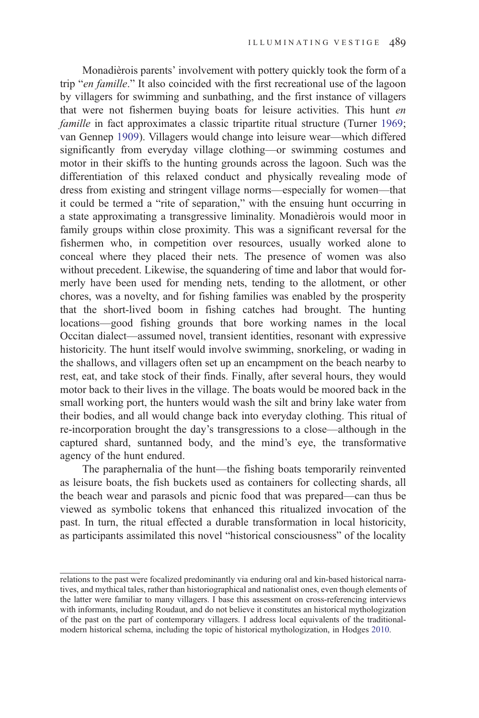<span id="page-16-0"></span>Monadièrois parents' involvement with pottery quickly took the form of a trip "en famille." It also coincided with the first recreational use of the lagoon by villagers for swimming and sunbathing, and the first instance of villagers that were not fishermen buying boats for leisure activities. This hunt en famille in fact approximates a classic tripartite ritual structure (Turner [1969](#page-30-0); van Gennep [1909](#page-30-0)). Villagers would change into leisure wear—which differed significantly from everyday village clothing—or swimming costumes and motor in their skiffs to the hunting grounds across the lagoon. Such was the differentiation of this relaxed conduct and physically revealing mode of dress from existing and stringent village norms—especially for women—that it could be termed a "rite of separation," with the ensuing hunt occurring in a state approximating a transgressive liminality. Monadièrois would moor in family groups within close proximity. This was a significant reversal for the fishermen who, in competition over resources, usually worked alone to conceal where they placed their nets. The presence of women was also without precedent. Likewise, the squandering of time and labor that would formerly have been used for mending nets, tending to the allotment, or other chores, was a novelty, and for fishing families was enabled by the prosperity that the short-lived boom in fishing catches had brought. The hunting locations—good fishing grounds that bore working names in the local Occitan dialect—assumed novel, transient identities, resonant with expressive historicity. The hunt itself would involve swimming, snorkeling, or wading in the shallows, and villagers often set up an encampment on the beach nearby to rest, eat, and take stock of their finds. Finally, after several hours, they would motor back to their lives in the village. The boats would be moored back in the small working port, the hunters would wash the silt and briny lake water from their bodies, and all would change back into everyday clothing. This ritual of re-incorporation brought the day's transgressions to a close—although in the captured shard, suntanned body, and the mind's eye, the transformative agency of the hunt endured.

The paraphernalia of the hunt—the fishing boats temporarily reinvented as leisure boats, the fish buckets used as containers for collecting shards, all the beach wear and parasols and picnic food that was prepared—can thus be viewed as symbolic tokens that enhanced this ritualized invocation of the past. In turn, the ritual effected a durable transformation in local historicity, as participants assimilated this novel "historical consciousness" of the locality

relations to the past were focalized predominantly via enduring oral and kin-based historical narratives, and mythical tales, rather than historiographical and nationalist ones, even though elements of the latter were familiar to many villagers. I base this assessment on cross-referencing interviews with informants, including Roudaut, and do not believe it constitutes an historical mythologization of the past on the part of contemporary villagers. I address local equivalents of the traditionalmodern historical schema, including the topic of historical mythologization, in Hodges [2010.](#page-29-0)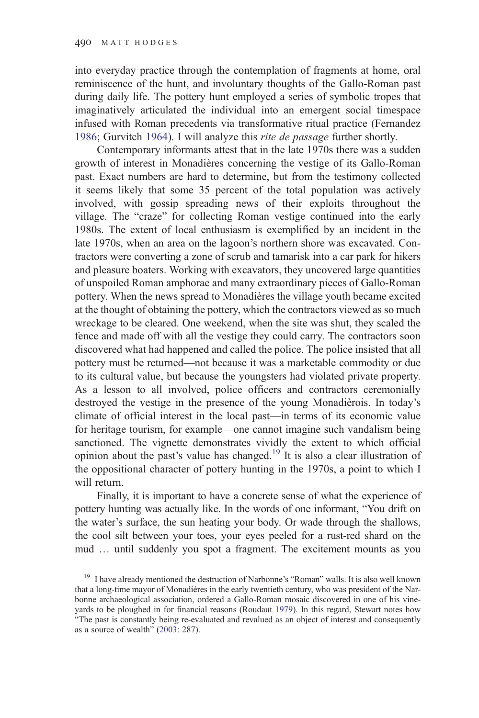<span id="page-17-0"></span>into everyday practice through the contemplation of fragments at home, oral reminiscence of the hunt, and involuntary thoughts of the Gallo-Roman past during daily life. The pottery hunt employed a series of symbolic tropes that imaginatively articulated the individual into an emergent social timespace infused with Roman precedents via transformative ritual practice (Fernandez [1986](#page-28-0); Gurvitch [1964](#page-28-0)). I will analyze this rite de passage further shortly.

Contemporary informants attest that in the late 1970s there was a sudden growth of interest in Monadières concerning the vestige of its Gallo-Roman past. Exact numbers are hard to determine, but from the testimony collected it seems likely that some 35 percent of the total population was actively involved, with gossip spreading news of their exploits throughout the village. The "craze" for collecting Roman vestige continued into the early 1980s. The extent of local enthusiasm is exemplified by an incident in the late 1970s, when an area on the lagoon's northern shore was excavated. Contractors were converting a zone of scrub and tamarisk into a car park for hikers and pleasure boaters. Working with excavators, they uncovered large quantities of unspoiled Roman amphorae and many extraordinary pieces of Gallo-Roman pottery. When the news spread to Monadières the village youth became excited at the thought of obtaining the pottery, which the contractors viewed as so much wreckage to be cleared. One weekend, when the site was shut, they scaled the fence and made off with all the vestige they could carry. The contractors soon discovered what had happened and called the police. The police insisted that all pottery must be returned—not because it was a marketable commodity or due to its cultural value, but because the youngsters had violated private property. As a lesson to all involved, police officers and contractors ceremonially destroyed the vestige in the presence of the young Monadièrois. In today's climate of official interest in the local past—in terms of its economic value for heritage tourism, for example—one cannot imagine such vandalism being sanctioned. The vignette demonstrates vividly the extent to which official opinion about the past's value has changed.[19](#page-16-0) It is also a clear illustration of the oppositional character of pottery hunting in the 1970s, a point to which I will return.

Finally, it is important to have a concrete sense of what the experience of pottery hunting was actually like. In the words of one informant, "You drift on the water's surface, the sun heating your body. Or wade through the shallows, the cool silt between your toes, your eyes peeled for a rust-red shard on the mud … until suddenly you spot a fragment. The excitement mounts as you

<sup>&</sup>lt;sup>19</sup> I have already mentioned the destruction of Narbonne's "Roman" walls. It is also well known that a long-time mayor of Monadières in the early twentieth century, who was president of the Narbonne archaeological association, ordered a Gallo-Roman mosaic discovered in one of his vineyards to be ploughed in for financial reasons (Roudaut [1979](#page-29-0)). In this regard, Stewart notes how "The past is constantly being re-evaluated and revalued as an object of interest and consequently as a source of wealth" ([2003:](#page-29-0) 287).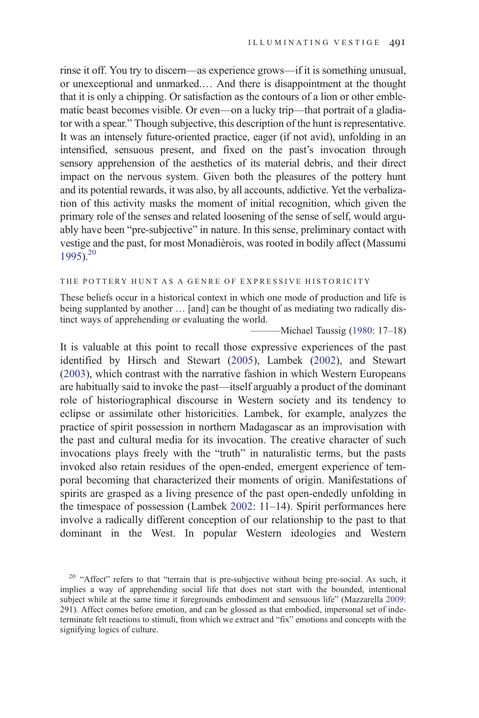<span id="page-18-0"></span>rinse it off. You try to discern—as experience grows—if it is something unusual, or unexceptional and unmarked.… And there is disappointment at the thought that it is only a chipping. Or satisfaction as the contours of a lion or other emblematic beast becomes visible. Or even—on a lucky trip—that portrait of a gladiator with a spear." Though subjective, this description of the hunt is representative. It was an intensely future-oriented practice, eager (if not avid), unfolding in an intensified, sensuous present, and fixed on the past's invocation through sensory apprehension of the aesthetics of its material debris, and their direct impact on the nervous system. Given both the pleasures of the pottery hunt and its potential rewards, it was also, by all accounts, addictive. Yet the verbalization of this activity masks the moment of initial recognition, which given the primary role of the senses and related loosening of the sense of self, would arguably have been "pre-subjective" in nature. In this sense, preliminary contact with vestige and the past, for most Monadièrois, was rooted in bodily affect (Massumi  $1995$ <sup>[20](#page-17-0)</sup>

### THE POTTERY HUNT AS A GENRE OF EXPRESSIVE HISTORICITY

These beliefs occur in a historical context in which one mode of production and life is being supplanted by another … [and] can be thought of as mediating two radically distinct ways of apprehending or evaluating the world.

———Michael Taussig ([1980:](#page-29-0) 17–18)

It is valuable at this point to recall those expressive experiences of the past identified by Hirsch and Stewart ([2005\)](#page-28-0), Lambek ([2002](#page-29-0)), and Stewart [\(2003](#page-29-0)), which contrast with the narrative fashion in which Western Europeans are habitually said to invoke the past—itself arguably a product of the dominant role of historiographical discourse in Western society and its tendency to eclipse or assimilate other historicities. Lambek, for example, analyzes the practice of spirit possession in northern Madagascar as an improvisation with the past and cultural media for its invocation. The creative character of such invocations plays freely with the "truth" in naturalistic terms, but the pasts invoked also retain residues of the open-ended, emergent experience of temporal becoming that characterized their moments of origin. Manifestations of spirits are grasped as a living presence of the past open-endedly unfolding in the timespace of possession (Lambek [2002:](#page-29-0) 11–14). Spirit performances here involve a radically different conception of our relationship to the past to that dominant in the West. In popular Western ideologies and Western

<sup>&</sup>lt;sup>20</sup> "Affect" refers to that "terrain that is pre-subjective without being pre-social. As such, it implies a way of apprehending social life that does not start with the bounded, intentional subject while at the same time it foregrounds embodiment and sensuous life" (Mazzarella [2009](#page-29-0): 291). Affect comes before emotion, and can be glossed as that embodied, impersonal set of indeterminate felt reactions to stimuli, from which we extract and "fix" emotions and concepts with the signifying logics of culture.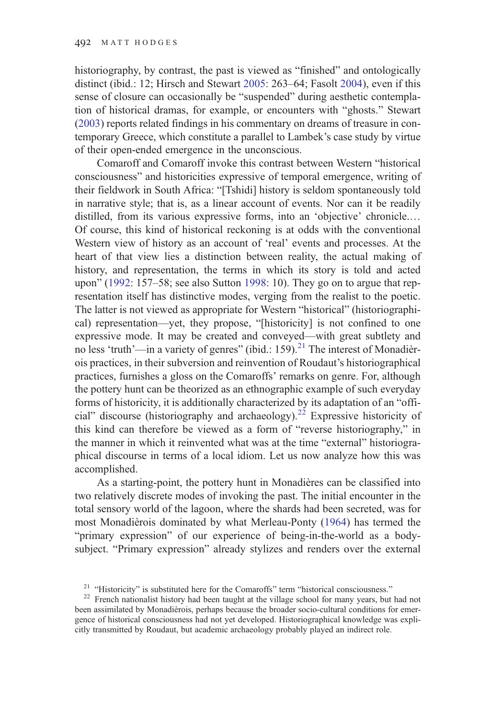<span id="page-19-0"></span>historiography, by contrast, the past is viewed as "finished" and ontologically distinct (ibid.: 12; Hirsch and Stewart [2005:](#page-28-0) 263–64; Fasolt [2004\)](#page-28-0), even if this sense of closure can occasionally be "suspended" during aesthetic contemplation of historical dramas, for example, or encounters with "ghosts." Stewart ([2003\)](#page-29-0) reports related findings in his commentary on dreams of treasure in contemporary Greece, which constitute a parallel to Lambek's case study by virtue of their open-ended emergence in the unconscious.

Comaroff and Comaroff invoke this contrast between Western "historical consciousness" and historicities expressive of temporal emergence, writing of their fieldwork in South Africa: "[Tshidi] history is seldom spontaneously told in narrative style; that is, as a linear account of events. Nor can it be readily distilled, from its various expressive forms, into an 'objective' chronicle.… Of course, this kind of historical reckoning is at odds with the conventional Western view of history as an account of 'real' events and processes. At the heart of that view lies a distinction between reality, the actual making of history, and representation, the terms in which its story is told and acted upon" ([1992:](#page-28-0) 157–58; see also Sutton [1998](#page-29-0): 10). They go on to argue that representation itself has distinctive modes, verging from the realist to the poetic. The latter is not viewed as appropriate for Western "historical" (historiographical) representation—yet, they propose, "[historicity] is not confined to one expressive mode. It may be created and conveyed—with great subtlety and no less 'truth'—in a variety of genres" (ibid.: 159).<sup>[21](#page-18-0)</sup> The interest of Monadièrois practices, in their subversion and reinvention of Roudaut's historiographical practices, furnishes a gloss on the Comaroffs' remarks on genre. For, although the pottery hunt can be theorized as an ethnographic example of such everyday forms of historicity, it is additionally characterized by its adaptation of an "offi-cial" discourse (historiography and archaeology).<sup>[22](#page-18-0)</sup> Expressive historicity of this kind can therefore be viewed as a form of "reverse historiography," in the manner in which it reinvented what was at the time "external" historiographical discourse in terms of a local idiom. Let us now analyze how this was accomplished.

As a starting-point, the pottery hunt in Monadières can be classified into two relatively discrete modes of invoking the past. The initial encounter in the total sensory world of the lagoon, where the shards had been secreted, was for most Monadièrois dominated by what Merleau-Ponty [\(1964\)](#page-29-0) has termed the "primary expression" of our experience of being-in-the-world as a bodysubject. "Primary expression" already stylizes and renders over the external

<sup>&</sup>lt;sup>21</sup> "Historicity" is substituted here for the Comaroffs" term "historical consciousness."

<sup>&</sup>lt;sup>22</sup> French nationalist history had been taught at the village school for many years, but had not been assimilated by Monadièrois, perhaps because the broader socio-cultural conditions for emergence of historical consciousness had not yet developed. Historiographical knowledge was explicitly transmitted by Roudaut, but academic archaeology probably played an indirect role.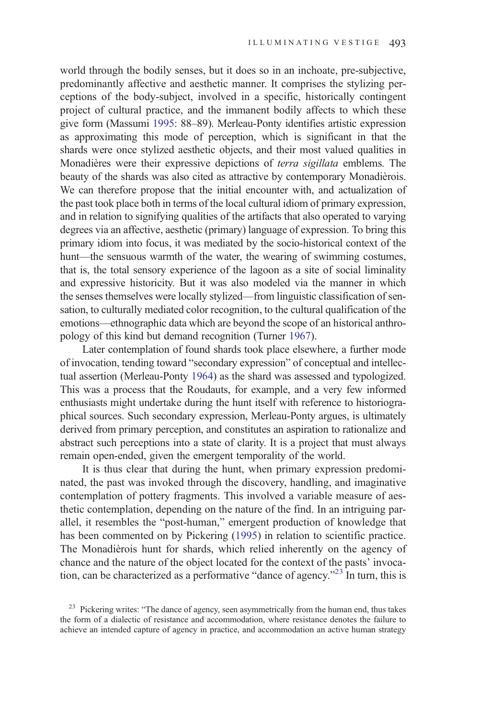<span id="page-20-0"></span>world through the bodily senses, but it does so in an inchoate, pre-subjective, predominantly affective and aesthetic manner. It comprises the stylizing perceptions of the body-subject, involved in a specific, historically contingent project of cultural practice, and the immanent bodily affects to which these give form (Massumi [1995](#page-29-0): 88–89). Merleau-Ponty identifies artistic expression as approximating this mode of perception, which is significant in that the shards were once stylized aesthetic objects, and their most valued qualities in Monadières were their expressive depictions of terra sigillata emblems. The beauty of the shards was also cited as attractive by contemporary Monadièrois. We can therefore propose that the initial encounter with, and actualization of the past took place both in terms of the local cultural idiom of primary expression, and in relation to signifying qualities of the artifacts that also operated to varying degrees via an affective, aesthetic (primary) language of expression. To bring this primary idiom into focus, it was mediated by the socio-historical context of the hunt—the sensuous warmth of the water, the wearing of swimming costumes, that is, the total sensory experience of the lagoon as a site of social liminality and expressive historicity. But it was also modeled via the manner in which the senses themselves were locally stylized—from linguistic classification of sensation, to culturally mediated color recognition, to the cultural qualification of the emotions—ethnographic data which are beyond the scope of an historical anthropology of this kind but demand recognition (Turner [1967](#page-29-0)).

Later contemplation of found shards took place elsewhere, a further mode of invocation, tending toward "secondary expression" of conceptual and intellectual assertion (Merleau-Ponty [1964](#page-29-0)) as the shard was assessed and typologized. This was a process that the Roudauts, for example, and a very few informed enthusiasts might undertake during the hunt itself with reference to historiographical sources. Such secondary expression, Merleau-Ponty argues, is ultimately derived from primary perception, and constitutes an aspiration to rationalize and abstract such perceptions into a state of clarity. It is a project that must always remain open-ended, given the emergent temporality of the world.

It is thus clear that during the hunt, when primary expression predominated, the past was invoked through the discovery, handling, and imaginative contemplation of pottery fragments. This involved a variable measure of aesthetic contemplation, depending on the nature of the find. In an intriguing parallel, it resembles the "post-human," emergent production of knowledge that has been commented on by Pickering [\(1995](#page-29-0)) in relation to scientific practice. The Monadièrois hunt for shards, which relied inherently on the agency of chance and the nature of the object located for the context of the pasts' invoca-tion, can be characterized as a performative "dance of agency."<sup>[23](#page-19-0)</sup> In turn, this is

<sup>&</sup>lt;sup>23</sup> Pickering writes: "The dance of agency, seen asymmetrically from the human end, thus takes the form of a dialectic of resistance and accommodation, where resistance denotes the failure to achieve an intended capture of agency in practice, and accommodation an active human strategy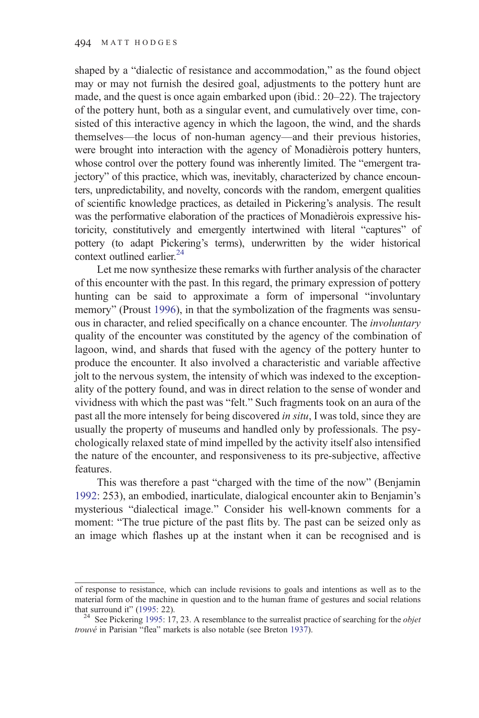<span id="page-21-0"></span>shaped by a "dialectic of resistance and accommodation," as the found object may or may not furnish the desired goal, adjustments to the pottery hunt are made, and the quest is once again embarked upon (ibid.: 20–22). The trajectory of the pottery hunt, both as a singular event, and cumulatively over time, consisted of this interactive agency in which the lagoon, the wind, and the shards themselves—the locus of non-human agency—and their previous histories, were brought into interaction with the agency of Monadièrois pottery hunters, whose control over the pottery found was inherently limited. The "emergent trajectory" of this practice, which was, inevitably, characterized by chance encounters, unpredictability, and novelty, concords with the random, emergent qualities of scientific knowledge practices, as detailed in Pickering's analysis. The result was the performative elaboration of the practices of Monadièrois expressive historicity, constitutively and emergently intertwined with literal "captures" of pottery (to adapt Pickering's terms), underwritten by the wider historical context outlined earlier.<sup>[24](#page-20-0)</sup>

Let me now synthesize these remarks with further analysis of the character of this encounter with the past. In this regard, the primary expression of pottery hunting can be said to approximate a form of impersonal "involuntary memory" (Proust [1996\)](#page-29-0), in that the symbolization of the fragments was sensuous in character, and relied specifically on a chance encounter. The *involuntary* quality of the encounter was constituted by the agency of the combination of lagoon, wind, and shards that fused with the agency of the pottery hunter to produce the encounter. It also involved a characteristic and variable affective jolt to the nervous system, the intensity of which was indexed to the exceptionality of the pottery found, and was in direct relation to the sense of wonder and vividness with which the past was "felt." Such fragments took on an aura of the past all the more intensely for being discovered in situ, I was told, since they are usually the property of museums and handled only by professionals. The psychologically relaxed state of mind impelled by the activity itself also intensified the nature of the encounter, and responsiveness to its pre-subjective, affective features.

This was therefore a past "charged with the time of the now" (Benjamin [1992](#page-27-0): 253), an embodied, inarticulate, dialogical encounter akin to Benjamin's mysterious "dialectical image." Consider his well-known comments for a moment: "The true picture of the past flits by. The past can be seized only as an image which flashes up at the instant when it can be recognised and is

of response to resistance, which can include revisions to goals and intentions as well as to the material form of the machine in question and to the human frame of gestures and social relations that surround it" ([1995:](#page-29-0) 22).

<sup>&</sup>lt;sup>24</sup> See Pickering [1995:](#page-29-0) 17, 23. A resemblance to the surrealist practice of searching for the *objet* trouvé in Parisian "flea" markets is also notable (see Breton [1937\)](#page-28-0).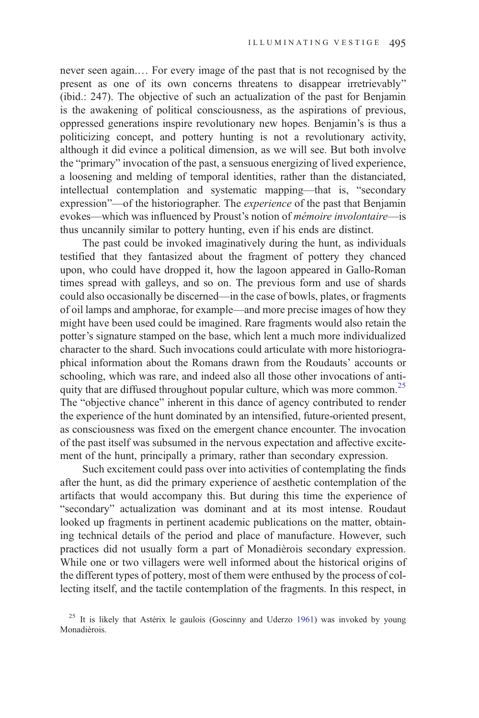never seen again.… For every image of the past that is not recognised by the present as one of its own concerns threatens to disappear irretrievably" (ibid.: 247). The objective of such an actualization of the past for Benjamin is the awakening of political consciousness, as the aspirations of previous, oppressed generations inspire revolutionary new hopes. Benjamin's is thus a politicizing concept, and pottery hunting is not a revolutionary activity, although it did evince a political dimension, as we will see. But both involve the "primary" invocation of the past, a sensuous energizing of lived experience, a loosening and melding of temporal identities, rather than the distanciated, intellectual contemplation and systematic mapping—that is, "secondary expression"—of the historiographer. The experience of the past that Benjamin evokes—which was influenced by Proust's notion of mémoire involontaire—is thus uncannily similar to pottery hunting, even if his ends are distinct.

The past could be invoked imaginatively during the hunt, as individuals testified that they fantasized about the fragment of pottery they chanced upon, who could have dropped it, how the lagoon appeared in Gallo-Roman times spread with galleys, and so on. The previous form and use of shards could also occasionally be discerned—in the case of bowls, plates, or fragments of oil lamps and amphorae, for example—and more precise images of how they might have been used could be imagined. Rare fragments would also retain the potter's signature stamped on the base, which lent a much more individualized character to the shard. Such invocations could articulate with more historiographical information about the Romans drawn from the Roudauts' accounts or schooling, which was rare, and indeed also all those other invocations of anti-quity that are diffused throughout popular culture, which was more common.<sup>[25](#page-21-0)</sup> The "objective chance" inherent in this dance of agency contributed to render the experience of the hunt dominated by an intensified, future-oriented present, as consciousness was fixed on the emergent chance encounter. The invocation of the past itself was subsumed in the nervous expectation and affective excitement of the hunt, principally a primary, rather than secondary expression.

Such excitement could pass over into activities of contemplating the finds after the hunt, as did the primary experience of aesthetic contemplation of the artifacts that would accompany this. But during this time the experience of "secondary" actualization was dominant and at its most intense. Roudaut looked up fragments in pertinent academic publications on the matter, obtaining technical details of the period and place of manufacture. However, such practices did not usually form a part of Monadièrois secondary expression. While one or two villagers were well informed about the historical origins of the different types of pottery, most of them were enthused by the process of collecting itself, and the tactile contemplation of the fragments. In this respect, in

 $25$  It is likely that Astérix le gaulois (Goscinny and Uderzo [1961](#page-28-0)) was invoked by young Monadièrois.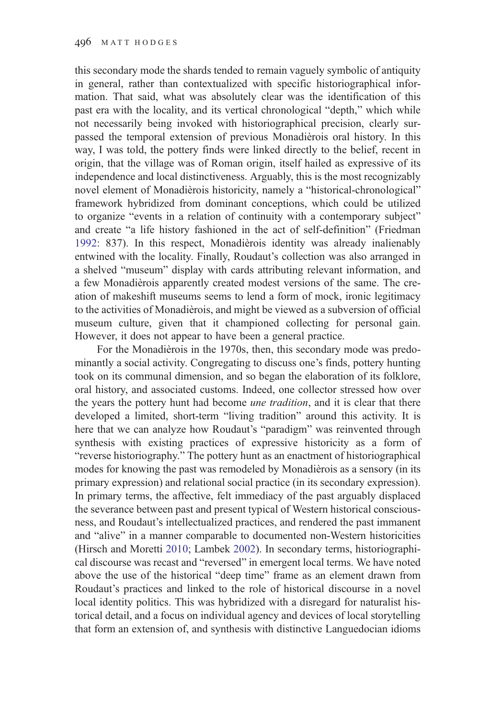<span id="page-23-0"></span>this secondary mode the shards tended to remain vaguely symbolic of antiquity in general, rather than contextualized with specific historiographical information. That said, what was absolutely clear was the identification of this past era with the locality, and its vertical chronological "depth," which while not necessarily being invoked with historiographical precision, clearly surpassed the temporal extension of previous Monadièrois oral history. In this way, I was told, the pottery finds were linked directly to the belief, recent in origin, that the village was of Roman origin, itself hailed as expressive of its independence and local distinctiveness. Arguably, this is the most recognizably novel element of Monadièrois historicity, namely a "historical-chronological" framework hybridized from dominant conceptions, which could be utilized to organize "events in a relation of continuity with a contemporary subject" and create "a life history fashioned in the act of self-definition" (Friedman [1992](#page-28-0): 837). In this respect, Monadièrois identity was already inalienably entwined with the locality. Finally, Roudaut's collection was also arranged in a shelved "museum" display with cards attributing relevant information, and a few Monadièrois apparently created modest versions of the same. The creation of makeshift museums seems to lend a form of mock, ironic legitimacy to the activities of Monadièrois, and might be viewed as a subversion of official museum culture, given that it championed collecting for personal gain. However, it does not appear to have been a general practice.

For the Monadièrois in the 1970s, then, this secondary mode was predominantly a social activity. Congregating to discuss one's finds, pottery hunting took on its communal dimension, and so began the elaboration of its folklore, oral history, and associated customs. Indeed, one collector stressed how over the years the pottery hunt had become *une tradition*, and it is clear that there developed a limited, short-term "living tradition" around this activity. It is here that we can analyze how Roudaut's "paradigm" was reinvented through synthesis with existing practices of expressive historicity as a form of "reverse historiography." The pottery hunt as an enactment of historiographical modes for knowing the past was remodeled by Monadièrois as a sensory (in its primary expression) and relational social practice (in its secondary expression). In primary terms, the affective, felt immediacy of the past arguably displaced the severance between past and present typical of Western historical consciousness, and Roudaut's intellectualized practices, and rendered the past immanent and "alive" in a manner comparable to documented non-Western historicities (Hirsch and Moretti [2010;](#page-28-0) Lambek [2002\)](#page-29-0). In secondary terms, historiographical discourse was recast and "reversed" in emergent local terms. We have noted above the use of the historical "deep time" frame as an element drawn from Roudaut's practices and linked to the role of historical discourse in a novel local identity politics. This was hybridized with a disregard for naturalist historical detail, and a focus on individual agency and devices of local storytelling that form an extension of, and synthesis with distinctive Languedocian idioms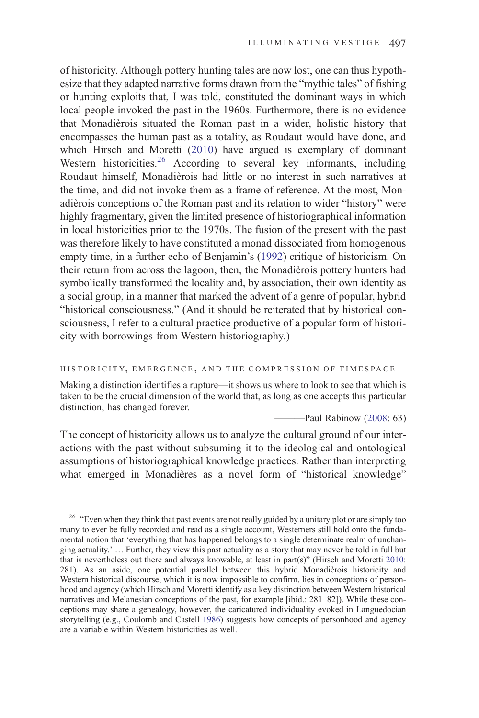of historicity. Although pottery hunting tales are now lost, one can thus hypothesize that they adapted narrative forms drawn from the "mythic tales" of fishing or hunting exploits that, I was told, constituted the dominant ways in which local people invoked the past in the 1960s. Furthermore, there is no evidence that Monadièrois situated the Roman past in a wider, holistic history that encompasses the human past as a totality, as Roudaut would have done, and which Hirsch and Moretti ([2010\)](#page-28-0) have argued is exemplary of dominant Western historicities.<sup>[26](#page-23-0)</sup> According to several key informants, including Roudaut himself, Monadièrois had little or no interest in such narratives at the time, and did not invoke them as a frame of reference. At the most, Monadièrois conceptions of the Roman past and its relation to wider "history" were highly fragmentary, given the limited presence of historiographical information in local historicities prior to the 1970s. The fusion of the present with the past was therefore likely to have constituted a monad dissociated from homogenous empty time, in a further echo of Benjamin's [\(1992](#page-27-0)) critique of historicism. On their return from across the lagoon, then, the Monadièrois pottery hunters had symbolically transformed the locality and, by association, their own identity as a social group, in a manner that marked the advent of a genre of popular, hybrid "historical consciousness." (And it should be reiterated that by historical consciousness, I refer to a cultural practice productive of a popular form of historicity with borrowings from Western historiography.)

### HISTORICITY, EMERGENCE, AND THE COMPRESSION OF TIMESPACE

Making a distinction identifies a rupture—it shows us where to look to see that which is taken to be the crucial dimension of the world that, as long as one accepts this particular distinction, has changed forever.

———Paul Rabinow [\(2008](#page-29-0): 63)

The concept of historicity allows us to analyze the cultural ground of our interactions with the past without subsuming it to the ideological and ontological assumptions of historiographical knowledge practices. Rather than interpreting what emerged in Monadières as a novel form of "historical knowledge"

<sup>26</sup> "Even when they think that past events are not really guided by a unitary plot or are simply too many to ever be fully recorded and read as a single account, Westerners still hold onto the fundamental notion that 'everything that has happened belongs to a single determinate realm of unchanging actuality.' … Further, they view this past actuality as a story that may never be told in full but that is nevertheless out there and always knowable, at least in part(s)" (Hirsch and Moretti [2010](#page-28-0): 281). As an aside, one potential parallel between this hybrid Monadièrois historicity and Western historical discourse, which it is now impossible to confirm, lies in conceptions of personhood and agency (which Hirsch and Moretti identify as a key distinction between Western historical narratives and Melanesian conceptions of the past, for example [ibid.: 281–82]). While these conceptions may share a genealogy, however, the caricatured individuality evoked in Languedocian storytelling (e.g., Coulomb and Castell [1986\)](#page-28-0) suggests how concepts of personhood and agency are a variable within Western historicities as well.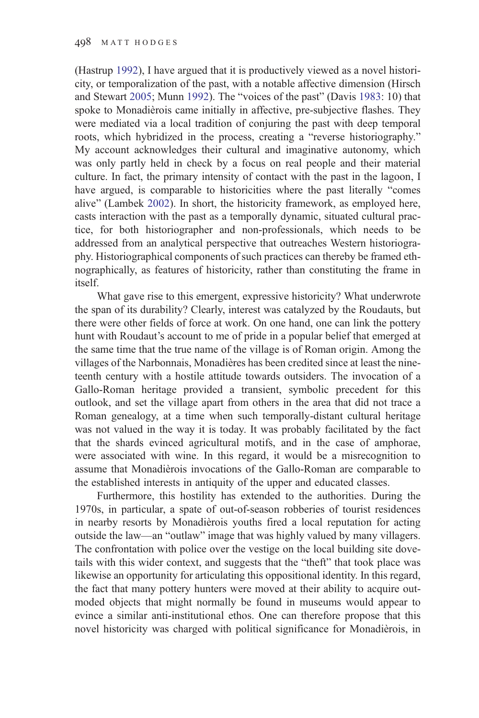(Hastrup [1992\)](#page-28-0), I have argued that it is productively viewed as a novel historicity, or temporalization of the past, with a notable affective dimension (Hirsch and Stewart [2005;](#page-28-0) Munn [1992](#page-29-0)). The "voices of the past" (Davis [1983:](#page-28-0) 10) that spoke to Monadièrois came initially in affective, pre-subjective flashes. They were mediated via a local tradition of conjuring the past with deep temporal roots, which hybridized in the process, creating a "reverse historiography." My account acknowledges their cultural and imaginative autonomy, which was only partly held in check by a focus on real people and their material culture. In fact, the primary intensity of contact with the past in the lagoon, I have argued, is comparable to historicities where the past literally "comes alive" (Lambek [2002](#page-29-0)). In short, the historicity framework, as employed here, casts interaction with the past as a temporally dynamic, situated cultural practice, for both historiographer and non-professionals, which needs to be addressed from an analytical perspective that outreaches Western historiography. Historiographical components of such practices can thereby be framed ethnographically, as features of historicity, rather than constituting the frame in itself.

What gave rise to this emergent, expressive historicity? What underwrote the span of its durability? Clearly, interest was catalyzed by the Roudauts, but there were other fields of force at work. On one hand, one can link the pottery hunt with Roudaut's account to me of pride in a popular belief that emerged at the same time that the true name of the village is of Roman origin. Among the villages of the Narbonnais, Monadières has been credited since at least the nineteenth century with a hostile attitude towards outsiders. The invocation of a Gallo-Roman heritage provided a transient, symbolic precedent for this outlook, and set the village apart from others in the area that did not trace a Roman genealogy, at a time when such temporally-distant cultural heritage was not valued in the way it is today. It was probably facilitated by the fact that the shards evinced agricultural motifs, and in the case of amphorae, were associated with wine. In this regard, it would be a misrecognition to assume that Monadièrois invocations of the Gallo-Roman are comparable to the established interests in antiquity of the upper and educated classes.

Furthermore, this hostility has extended to the authorities. During the 1970s, in particular, a spate of out-of-season robberies of tourist residences in nearby resorts by Monadièrois youths fired a local reputation for acting outside the law—an "outlaw" image that was highly valued by many villagers. The confrontation with police over the vestige on the local building site dovetails with this wider context, and suggests that the "theft" that took place was likewise an opportunity for articulating this oppositional identity. In this regard, the fact that many pottery hunters were moved at their ability to acquire outmoded objects that might normally be found in museums would appear to evince a similar anti-institutional ethos. One can therefore propose that this novel historicity was charged with political significance for Monadièrois, in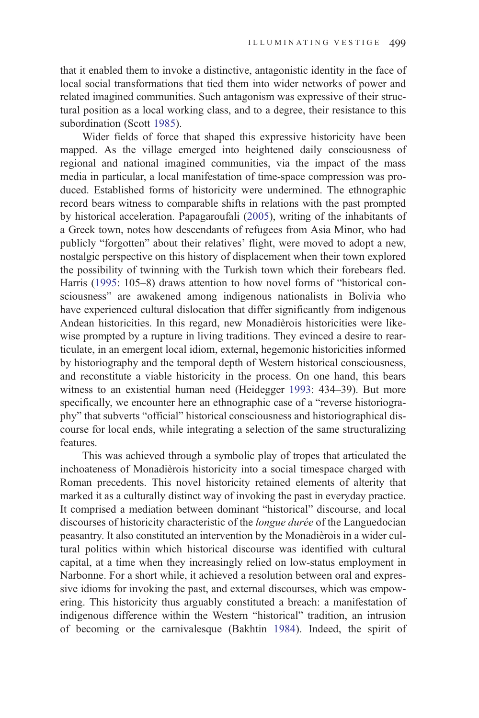that it enabled them to invoke a distinctive, antagonistic identity in the face of local social transformations that tied them into wider networks of power and related imagined communities. Such antagonism was expressive of their structural position as a local working class, and to a degree, their resistance to this subordination (Scott [1985](#page-29-0)).

Wider fields of force that shaped this expressive historicity have been mapped. As the village emerged into heightened daily consciousness of regional and national imagined communities, via the impact of the mass media in particular, a local manifestation of time-space compression was produced. Established forms of historicity were undermined. The ethnographic record bears witness to comparable shifts in relations with the past prompted by historical acceleration. Papagaroufali ([2005\)](#page-29-0), writing of the inhabitants of a Greek town, notes how descendants of refugees from Asia Minor, who had publicly "forgotten" about their relatives' flight, were moved to adopt a new, nostalgic perspective on this history of displacement when their town explored the possibility of twinning with the Turkish town which their forebears fled. Harris [\(1995:](#page-28-0) 105–8) draws attention to how novel forms of "historical consciousness" are awakened among indigenous nationalists in Bolivia who have experienced cultural dislocation that differ significantly from indigenous Andean historicities. In this regard, new Monadièrois historicities were likewise prompted by a rupture in living traditions. They evinced a desire to rearticulate, in an emergent local idiom, external, hegemonic historicities informed by historiography and the temporal depth of Western historical consciousness, and reconstitute a viable historicity in the process. On one hand, this bears witness to an existential human need (Heidegger [1993:](#page-28-0) 434–39). But more specifically, we encounter here an ethnographic case of a "reverse historiography" that subverts "official" historical consciousness and historiographical discourse for local ends, while integrating a selection of the same structuralizing features.

This was achieved through a symbolic play of tropes that articulated the inchoateness of Monadièrois historicity into a social timespace charged with Roman precedents. This novel historicity retained elements of alterity that marked it as a culturally distinct way of invoking the past in everyday practice. It comprised a mediation between dominant "historical" discourse, and local discourses of historicity characteristic of the *longue durée* of the Languedocian peasantry. It also constituted an intervention by the Monadièrois in a wider cultural politics within which historical discourse was identified with cultural capital, at a time when they increasingly relied on low-status employment in Narbonne. For a short while, it achieved a resolution between oral and expressive idioms for invoking the past, and external discourses, which was empowering. This historicity thus arguably constituted a breach: a manifestation of indigenous difference within the Western "historical" tradition, an intrusion of becoming or the carnivalesque (Bakhtin [1984\)](#page-27-0). Indeed, the spirit of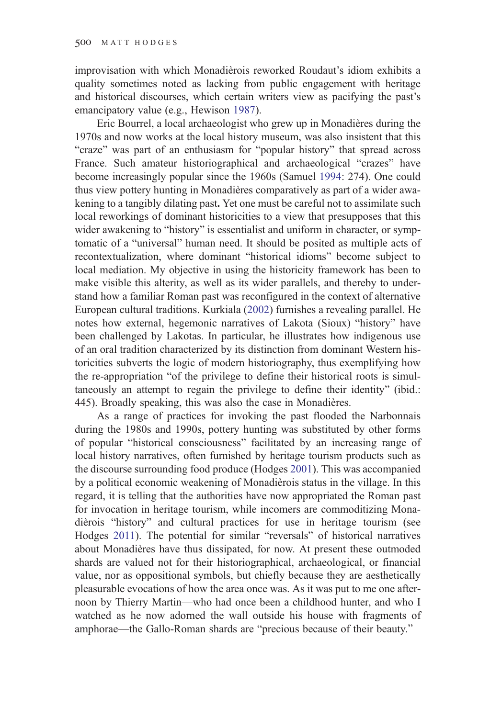<span id="page-27-0"></span>improvisation with which Monadièrois reworked Roudaut's idiom exhibits a quality sometimes noted as lacking from public engagement with heritage and historical discourses, which certain writers view as pacifying the past's emancipatory value (e.g., Hewison [1987](#page-28-0)).

Eric Bourrel, a local archaeologist who grew up in Monadières during the 1970s and now works at the local history museum, was also insistent that this "craze" was part of an enthusiasm for "popular history" that spread across France. Such amateur historiographical and archaeological "crazes" have become increasingly popular since the 1960s (Samuel [1994:](#page-29-0) 274). One could thus view pottery hunting in Monadières comparatively as part of a wider awakening to a tangibly dilating past. Yet one must be careful not to assimilate such local reworkings of dominant historicities to a view that presupposes that this wider awakening to "history" is essentialist and uniform in character, or symptomatic of a "universal" human need. It should be posited as multiple acts of recontextualization, where dominant "historical idioms" become subject to local mediation. My objective in using the historicity framework has been to make visible this alterity, as well as its wider parallels, and thereby to understand how a familiar Roman past was reconfigured in the context of alternative European cultural traditions. Kurkiala ([2002\)](#page-29-0) furnishes a revealing parallel. He notes how external, hegemonic narratives of Lakota (Sioux) "history" have been challenged by Lakotas. In particular, he illustrates how indigenous use of an oral tradition characterized by its distinction from dominant Western historicities subverts the logic of modern historiography, thus exemplifying how the re-appropriation "of the privilege to define their historical roots is simultaneously an attempt to regain the privilege to define their identity" (ibid.: 445). Broadly speaking, this was also the case in Monadières.

As a range of practices for invoking the past flooded the Narbonnais during the 1980s and 1990s, pottery hunting was substituted by other forms of popular "historical consciousness" facilitated by an increasing range of local history narratives, often furnished by heritage tourism products such as the discourse surrounding food produce (Hodges [2001\)](#page-28-0). This was accompanied by a political economic weakening of Monadièrois status in the village. In this regard, it is telling that the authorities have now appropriated the Roman past for invocation in heritage tourism, while incomers are commoditizing Monadièrois "history" and cultural practices for use in heritage tourism (see Hodges [2011](#page-29-0)). The potential for similar "reversals" of historical narratives about Monadières have thus dissipated, for now. At present these outmoded shards are valued not for their historiographical, archaeological, or financial value, nor as oppositional symbols, but chiefly because they are aesthetically pleasurable evocations of how the area once was. As it was put to me one afternoon by Thierry Martin—who had once been a childhood hunter, and who I watched as he now adorned the wall outside his house with fragments of amphorae—the Gallo-Roman shards are "precious because of their beauty."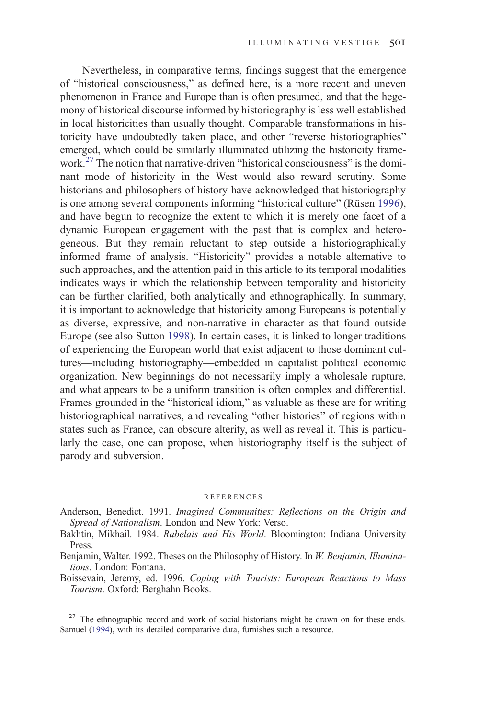<span id="page-28-0"></span>Nevertheless, in comparative terms, findings suggest that the emergence of "historical consciousness," as defined here, is a more recent and uneven phenomenon in France and Europe than is often presumed, and that the hegemony of historical discourse informed by historiography is less well established in local historicities than usually thought. Comparable transformations in historicity have undoubtedly taken place, and other "reverse historiographies" emerged, which could be similarly illuminated utilizing the historicity frame-work.<sup>[27](#page-27-0)</sup> The notion that narrative-driven "historical consciousness" is the dominant mode of historicity in the West would also reward scrutiny. Some historians and philosophers of history have acknowledged that historiography is one among several components informing "historical culture" (Rüsen [1996](#page-29-0)), and have begun to recognize the extent to which it is merely one facet of a dynamic European engagement with the past that is complex and heterogeneous. But they remain reluctant to step outside a historiographically informed frame of analysis. "Historicity" provides a notable alternative to such approaches, and the attention paid in this article to its temporal modalities indicates ways in which the relationship between temporality and historicity can be further clarified, both analytically and ethnographically. In summary, it is important to acknowledge that historicity among Europeans is potentially as diverse, expressive, and non-narrative in character as that found outside Europe (see also Sutton [1998](#page-29-0)). In certain cases, it is linked to longer traditions of experiencing the European world that exist adjacent to those dominant cultures—including historiography—embedded in capitalist political economic organization. New beginnings do not necessarily imply a wholesale rupture, and what appears to be a uniform transition is often complex and differential. Frames grounded in the "historical idiom," as valuable as these are for writing historiographical narratives, and revealing "other histories" of regions within states such as France, can obscure alterity, as well as reveal it. This is particularly the case, one can propose, when historiography itself is the subject of parody and subversion.

#### REFERENCES

- Anderson, Benedict. 1991. Imagined Communities: Reflections on the Origin and Spread of Nationalism. London and New York: Verso.
- Bakhtin, Mikhail. 1984. Rabelais and His World. Bloomington: Indiana University Press.
- Benjamin, Walter. 1992. Theses on the Philosophy of History. In W. Benjamin, Illuminations. London: Fontana.
- Boissevain, Jeremy, ed. 1996. Coping with Tourists: European Reactions to Mass Tourism. Oxford: Berghahn Books.

 $2<sup>27</sup>$  The ethnographic record and work of social historians might be drawn on for these ends. Samuel ([1994\)](#page-29-0), with its detailed comparative data, furnishes such a resource.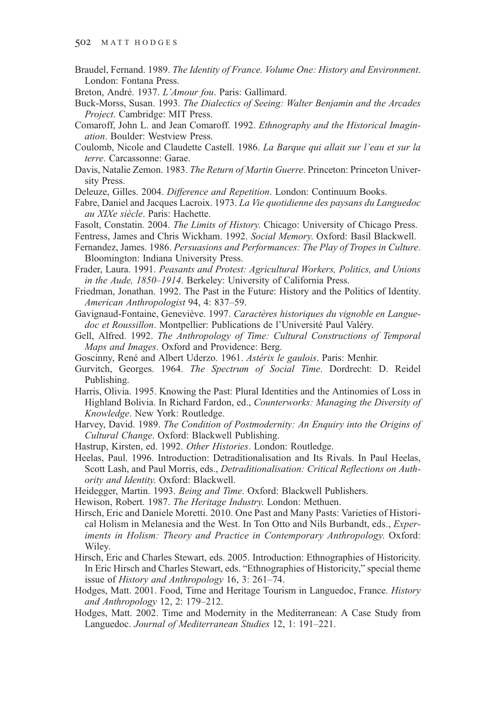- <span id="page-29-0"></span>Braudel, Fernand. 1989. The Identity of France. Volume One: History and Environment. London: Fontana Press.
- Breton, André. 1937. L'Amour fou. Paris: Gallimard.
- Buck-Morss, Susan. 1993. The Dialectics of Seeing: Walter Benjamin and the Arcades Project. Cambridge: MIT Press.
- Comaroff, John L. and Jean Comaroff. 1992. Ethnography and the Historical Imagination. Boulder: Westview Press.
- Coulomb, Nicole and Claudette Castell. 1986. La Barque qui allait sur l'eau et sur la terre. Carcassonne: Garae.
- Davis, Natalie Zemon. 1983. The Return of Martin Guerre. Princeton: Princeton University Press.
- Deleuze, Gilles. 2004. Difference and Repetition. London: Continuum Books.
- Fabre, Daniel and Jacques Lacroix. 1973. La Vie quotidienne des paysans du Languedoc au XIXe siècle. Paris: Hachette.
- Fasolt, Constatin. 2004. The Limits of History. Chicago: University of Chicago Press.
- Fentress, James and Chris Wickham. 1992. Social Memory. Oxford: Basil Blackwell.
- Fernandez, James. 1986. Persuasions and Performances: The Play of Tropes in Culture. Bloomington: Indiana University Press.
- Frader, Laura. 1991. Peasants and Protest: Agricultural Workers, Politics, and Unions in the Aude, 1850–1914. Berkeley: University of California Press.
- Friedman, Jonathan. 1992. The Past in the Future: History and the Politics of Identity. American Anthropologist 94, 4: 837–59.
- Gavignaud-Fontaine, Geneviève. 1997. Caractères historiques du vignoble en Languedoc et Roussillon. Montpellier: Publications de l'Université Paul Valéry.
- Gell, Alfred. 1992. The Anthropology of Time: Cultural Constructions of Temporal Maps and Images. Oxford and Providence: Berg.
- Goscinny, René and Albert Uderzo. 1961. Astérix le gaulois. Paris: Menhir.
- Gurvitch, Georges. 1964. The Spectrum of Social Time. Dordrecht: D. Reidel Publishing.
- Harris, Olivia. 1995. Knowing the Past: Plural Identities and the Antinomies of Loss in Highland Bolivia. In Richard Fardon, ed., Counterworks: Managing the Diversity of Knowledge. New York: Routledge.
- Harvey, David. 1989. The Condition of Postmodernity: An Enquiry into the Origins of Cultural Change. Oxford: Blackwell Publishing.
- Hastrup, Kirsten, ed. 1992. Other Histories. London: Routledge.
- Heelas, Paul. 1996. Introduction: Detraditionalisation and Its Rivals. In Paul Heelas, Scott Lash, and Paul Morris, eds., Detraditionalisation: Critical Reflections on Authority and Identity. Oxford: Blackwell.
- Heidegger, Martin. 1993. Being and Time. Oxford: Blackwell Publishers.
- Hewison, Robert. 1987. The Heritage Industry. London: Methuen.

Hirsch, Eric and Daniele Moretti. 2010. One Past and Many Pasts: Varieties of Historical Holism in Melanesia and the West. In Ton Otto and Nils Burbandt, eds., Experiments in Holism: Theory and Practice in Contemporary Anthropology. Oxford: Wiley.

- Hirsch, Eric and Charles Stewart, eds. 2005. Introduction: Ethnographies of Historicity. In Eric Hirsch and Charles Stewart, eds. "Ethnographies of Historicity," special theme issue of History and Anthropology 16, 3: 261–74.
- Hodges, Matt. 2001. Food, Time and Heritage Tourism in Languedoc, France. *History* and Anthropology 12, 2: 179–212.
- Hodges, Matt. 2002. Time and Modernity in the Mediterranean: A Case Study from Languedoc. Journal of Mediterranean Studies 12, 1: 191–221.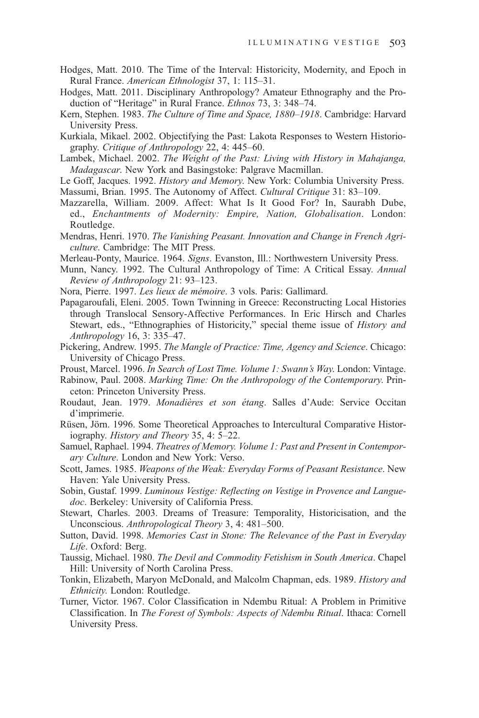- <span id="page-30-0"></span>Hodges, Matt. 2010. The Time of the Interval: Historicity, Modernity, and Epoch in Rural France. American Ethnologist 37, 1: 115-31.
- Hodges, Matt. 2011. Disciplinary Anthropology? Amateur Ethnography and the Production of "Heritage" in Rural France. Ethnos 73, 3: 348–74.
- Kern, Stephen. 1983. The Culture of Time and Space, 1880–1918. Cambridge: Harvard University Press.
- Kurkiala, Mikael. 2002. Objectifying the Past: Lakota Responses to Western Historiography. Critique of Anthropology 22, 4: 445–60.
- Lambek, Michael. 2002. The Weight of the Past: Living with History in Mahajanga, Madagascar. New York and Basingstoke: Palgrave Macmillan.
- Le Goff, Jacques. 1992. History and Memory. New York: Columbia University Press.
- Massumi, Brian. 1995. The Autonomy of Affect. Cultural Critique 31: 83–109.
- Mazzarella, William. 2009. Affect: What Is It Good For? In, Saurabh Dube, ed., Enchantments of Modernity: Empire, Nation, Globalisation. London: Routledge.
- Mendras, Henri. 1970. The Vanishing Peasant. Innovation and Change in French Agriculture. Cambridge: The MIT Press.
- Merleau-Ponty, Maurice. 1964. Signs. Evanston, Ill.: Northwestern University Press.
- Munn, Nancy. 1992. The Cultural Anthropology of Time: A Critical Essay. Annual Review of Anthropology 21: 93–123.
- Nora, Pierre. 1997. Les lieux de mémoire. 3 vols. Paris: Gallimard.
- Papagaroufali, Eleni. 2005. Town Twinning in Greece: Reconstructing Local Histories through Translocal Sensory-Affective Performances. In Eric Hirsch and Charles Stewart, eds., "Ethnographies of Historicity," special theme issue of History and Anthropology 16, 3: 335–47.
- Pickering, Andrew. 1995. The Mangle of Practice: Time, Agency and Science. Chicago: University of Chicago Press.
- Proust, Marcel. 1996. In Search of Lost Time. Volume 1: Swann's Way. London: Vintage.
- Rabinow, Paul. 2008. Marking Time: On the Anthropology of the Contemporary. Princeton: Princeton University Press.
- Roudaut, Jean. 1979. Monadières et son étang. Salles d'Aude: Service Occitan d'imprimerie.
- Rüsen, Jörn. 1996. Some Theoretical Approaches to Intercultural Comparative Historiography. History and Theory 35, 4: 5–22.
- Samuel, Raphael. 1994. Theatres of Memory. Volume 1: Past and Present in Contemporary Culture. London and New York: Verso.
- Scott, James. 1985. Weapons of the Weak: Everyday Forms of Peasant Resistance. New Haven: Yale University Press.
- Sobin, Gustaf. 1999. Luminous Vestige: Reflecting on Vestige in Provence and Languedoc. Berkeley: University of California Press.
- Stewart, Charles. 2003. Dreams of Treasure: Temporality, Historicisation, and the Unconscious. Anthropological Theory 3, 4: 481–500.
- Sutton, David. 1998. Memories Cast in Stone: The Relevance of the Past in Everyday Life. Oxford: Berg.
- Taussig, Michael. 1980. The Devil and Commodity Fetishism in South America. Chapel Hill: University of North Carolina Press.
- Tonkin, Elizabeth, Maryon McDonald, and Malcolm Chapman, eds. 1989. History and Ethnicity. London: Routledge.
- Turner, Victor. 1967. Color Classification in Ndembu Ritual: A Problem in Primitive Classification. In The Forest of Symbols: Aspects of Ndembu Ritual. Ithaca: Cornell University Press.